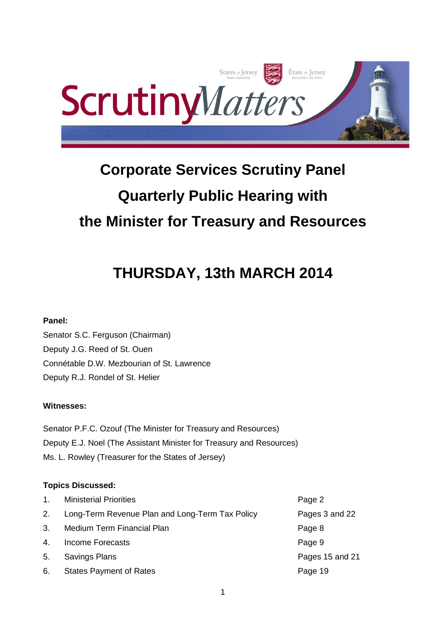

# **Corporate Services Scrutiny Panel Quarterly Public Hearing with the Minister for Treasury and Resources**

# **THURSDAY, 13th MARCH 2014**

# **Panel:**

Senator S.C. Ferguson (Chairman) Deputy J.G. Reed of St. Ouen Connétable D.W. Mezbourian of St. Lawrence Deputy R.J. Rondel of St. Helier

# **Witnesses:**

Senator P.F.C. Ozouf (The Minister for Treasury and Resources) Deputy E.J. Noel (The Assistant Minister for Treasury and Resources) Ms. L. Rowley (Treasurer for the States of Jersey)

# **Topics Discussed:**

| $\mathbf{1}$ . | <b>Ministerial Priorities</b>                   | Page 2          |
|----------------|-------------------------------------------------|-----------------|
| 2.             | Long-Term Revenue Plan and Long-Term Tax Policy | Pages 3 and 22  |
| 3.             | Medium Term Financial Plan                      | Page 8          |
| 4.             | Income Forecasts                                | Page 9          |
| 5.             | Savings Plans                                   | Pages 15 and 21 |
| 6.             | <b>States Payment of Rates</b>                  | Page 19         |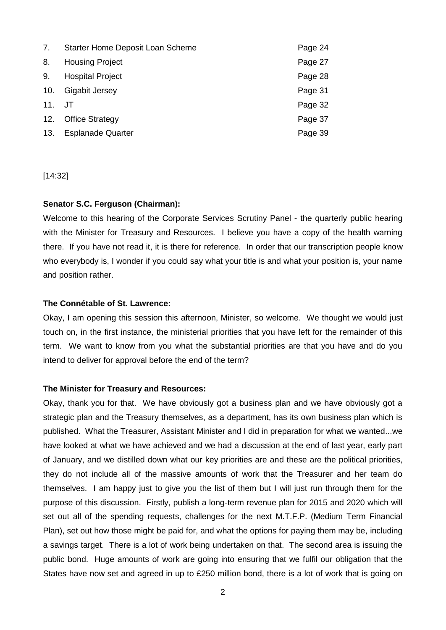| 7.     | Starter Home Deposit Loan Scheme | Page 24 |
|--------|----------------------------------|---------|
| 8.     | <b>Housing Project</b>           | Page 27 |
| 9.     | <b>Hospital Project</b>          | Page 28 |
| 10.    | Gigabit Jersey                   | Page 31 |
| 11. JT |                                  | Page 32 |
| 12.    | <b>Office Strategy</b>           | Page 37 |
| 13.    | <b>Esplanade Quarter</b>         | Page 39 |

[14:32]

## **Senator S.C. Ferguson (Chairman):**

Welcome to this hearing of the Corporate Services Scrutiny Panel - the quarterly public hearing with the Minister for Treasury and Resources. I believe you have a copy of the health warning there. If you have not read it, it is there for reference. In order that our transcription people know who everybody is, I wonder if you could say what your title is and what your position is, your name and position rather.

## **The Connétable of St. Lawrence:**

Okay, I am opening this session this afternoon, Minister, so welcome. We thought we would just touch on, in the first instance, the ministerial priorities that you have left for the remainder of this term. We want to know from you what the substantial priorities are that you have and do you intend to deliver for approval before the end of the term?

#### **The Minister for Treasury and Resources:**

Okay, thank you for that. We have obviously got a business plan and we have obviously got a strategic plan and the Treasury themselves, as a department, has its own business plan which is published. What the Treasurer, Assistant Minister and I did in preparation for what we wanted...we have looked at what we have achieved and we had a discussion at the end of last year, early part of January, and we distilled down what our key priorities are and these are the political priorities, they do not include all of the massive amounts of work that the Treasurer and her team do themselves. I am happy just to give you the list of them but I will just run through them for the purpose of this discussion. Firstly, publish a long-term revenue plan for 2015 and 2020 which will set out all of the spending requests, challenges for the next M.T.F.P. (Medium Term Financial Plan), set out how those might be paid for, and what the options for paying them may be, including a savings target. There is a lot of work being undertaken on that. The second area is issuing the public bond. Huge amounts of work are going into ensuring that we fulfil our obligation that the States have now set and agreed in up to £250 million bond, there is a lot of work that is going on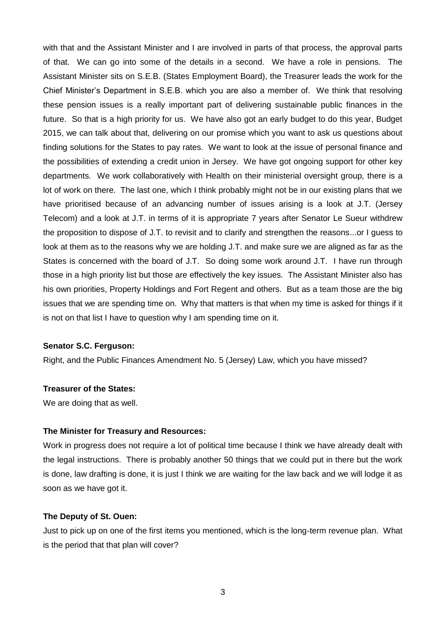with that and the Assistant Minister and I are involved in parts of that process, the approval parts of that. We can go into some of the details in a second. We have a role in pensions. The Assistant Minister sits on S.E.B. (States Employment Board), the Treasurer leads the work for the Chief Minister's Department in S.E.B. which you are also a member of. We think that resolving these pension issues is a really important part of delivering sustainable public finances in the future. So that is a high priority for us. We have also got an early budget to do this year, Budget 2015, we can talk about that, delivering on our promise which you want to ask us questions about finding solutions for the States to pay rates. We want to look at the issue of personal finance and the possibilities of extending a credit union in Jersey. We have got ongoing support for other key departments. We work collaboratively with Health on their ministerial oversight group, there is a lot of work on there. The last one, which I think probably might not be in our existing plans that we have prioritised because of an advancing number of issues arising is a look at J.T. (Jersey Telecom) and a look at J.T. in terms of it is appropriate 7 years after Senator Le Sueur withdrew the proposition to dispose of J.T. to revisit and to clarify and strengthen the reasons...or I guess to look at them as to the reasons why we are holding J.T. and make sure we are aligned as far as the States is concerned with the board of J.T. So doing some work around J.T. I have run through those in a high priority list but those are effectively the key issues. The Assistant Minister also has his own priorities, Property Holdings and Fort Regent and others. But as a team those are the big issues that we are spending time on. Why that matters is that when my time is asked for things if it is not on that list I have to question why I am spending time on it.

#### **Senator S.C. Ferguson:**

Right, and the Public Finances Amendment No. 5 (Jersey) Law, which you have missed?

# **Treasurer of the States:**

We are doing that as well.

#### **The Minister for Treasury and Resources:**

Work in progress does not require a lot of political time because I think we have already dealt with the legal instructions. There is probably another 50 things that we could put in there but the work is done, law drafting is done, it is just I think we are waiting for the law back and we will lodge it as soon as we have got it.

#### **The Deputy of St. Ouen:**

Just to pick up on one of the first items you mentioned, which is the long-term revenue plan. What is the period that that plan will cover?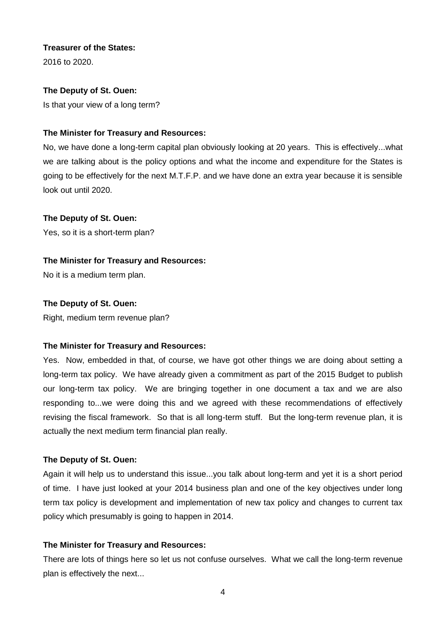# **Treasurer of the States:**

2016 to 2020.

# **The Deputy of St. Ouen:**

Is that your view of a long term?

# **The Minister for Treasury and Resources:**

No, we have done a long-term capital plan obviously looking at 20 years. This is effectively...what we are talking about is the policy options and what the income and expenditure for the States is going to be effectively for the next M.T.F.P. and we have done an extra year because it is sensible look out until 2020.

# **The Deputy of St. Ouen:**

Yes, so it is a short-term plan?

# **The Minister for Treasury and Resources:**

No it is a medium term plan.

# **The Deputy of St. Ouen:**

Right, medium term revenue plan?

# **The Minister for Treasury and Resources:**

Yes. Now, embedded in that, of course, we have got other things we are doing about setting a long-term tax policy. We have already given a commitment as part of the 2015 Budget to publish our long-term tax policy. We are bringing together in one document a tax and we are also responding to...we were doing this and we agreed with these recommendations of effectively revising the fiscal framework. So that is all long-term stuff. But the long-term revenue plan, it is actually the next medium term financial plan really.

# **The Deputy of St. Ouen:**

Again it will help us to understand this issue...you talk about long-term and yet it is a short period of time. I have just looked at your 2014 business plan and one of the key objectives under long term tax policy is development and implementation of new tax policy and changes to current tax policy which presumably is going to happen in 2014.

# **The Minister for Treasury and Resources:**

There are lots of things here so let us not confuse ourselves. What we call the long-term revenue plan is effectively the next...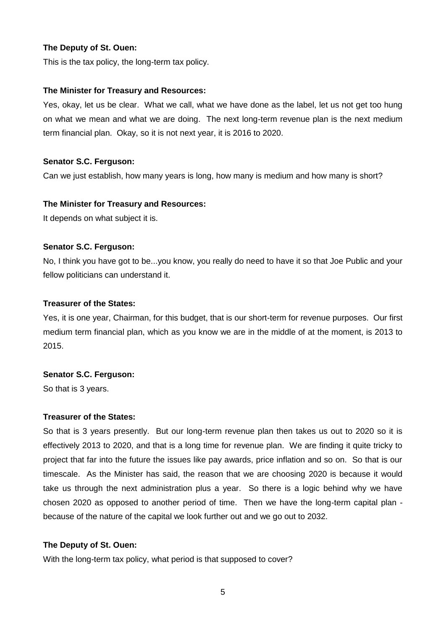This is the tax policy, the long-term tax policy.

#### **The Minister for Treasury and Resources:**

Yes, okay, let us be clear. What we call, what we have done as the label, let us not get too hung on what we mean and what we are doing. The next long-term revenue plan is the next medium term financial plan. Okay, so it is not next year, it is 2016 to 2020.

#### **Senator S.C. Ferguson:**

Can we just establish, how many years is long, how many is medium and how many is short?

#### **The Minister for Treasury and Resources:**

It depends on what subject it is.

#### **Senator S.C. Ferguson:**

No, I think you have got to be...you know, you really do need to have it so that Joe Public and your fellow politicians can understand it.

#### **Treasurer of the States:**

Yes, it is one year, Chairman, for this budget, that is our short-term for revenue purposes. Our first medium term financial plan, which as you know we are in the middle of at the moment, is 2013 to 2015.

#### **Senator S.C. Ferguson:**

So that is 3 years.

#### **Treasurer of the States:**

So that is 3 years presently. But our long-term revenue plan then takes us out to 2020 so it is effectively 2013 to 2020, and that is a long time for revenue plan. We are finding it quite tricky to project that far into the future the issues like pay awards, price inflation and so on. So that is our timescale. As the Minister has said, the reason that we are choosing 2020 is because it would take us through the next administration plus a year. So there is a logic behind why we have chosen 2020 as opposed to another period of time. Then we have the long-term capital plan because of the nature of the capital we look further out and we go out to 2032.

## **The Deputy of St. Ouen:**

With the long-term tax policy, what period is that supposed to cover?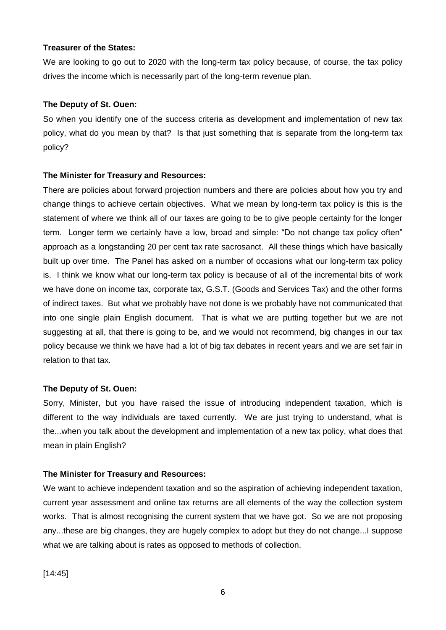#### **Treasurer of the States:**

We are looking to go out to 2020 with the long-term tax policy because, of course, the tax policy drives the income which is necessarily part of the long-term revenue plan.

## **The Deputy of St. Ouen:**

So when you identify one of the success criteria as development and implementation of new tax policy, what do you mean by that? Is that just something that is separate from the long-term tax policy?

# **The Minister for Treasury and Resources:**

There are policies about forward projection numbers and there are policies about how you try and change things to achieve certain objectives. What we mean by long-term tax policy is this is the statement of where we think all of our taxes are going to be to give people certainty for the longer term. Longer term we certainly have a low, broad and simple: "Do not change tax policy often" approach as a longstanding 20 per cent tax rate sacrosanct. All these things which have basically built up over time. The Panel has asked on a number of occasions what our long-term tax policy is. I think we know what our long-term tax policy is because of all of the incremental bits of work we have done on income tax, corporate tax, G.S.T. (Goods and Services Tax) and the other forms of indirect taxes. But what we probably have not done is we probably have not communicated that into one single plain English document. That is what we are putting together but we are not suggesting at all, that there is going to be, and we would not recommend, big changes in our tax policy because we think we have had a lot of big tax debates in recent years and we are set fair in relation to that tax.

# **The Deputy of St. Ouen:**

Sorry, Minister, but you have raised the issue of introducing independent taxation, which is different to the way individuals are taxed currently. We are just trying to understand, what is the...when you talk about the development and implementation of a new tax policy, what does that mean in plain English?

# **The Minister for Treasury and Resources:**

We want to achieve independent taxation and so the aspiration of achieving independent taxation, current year assessment and online tax returns are all elements of the way the collection system works. That is almost recognising the current system that we have got. So we are not proposing any...these are big changes, they are hugely complex to adopt but they do not change...I suppose what we are talking about is rates as opposed to methods of collection.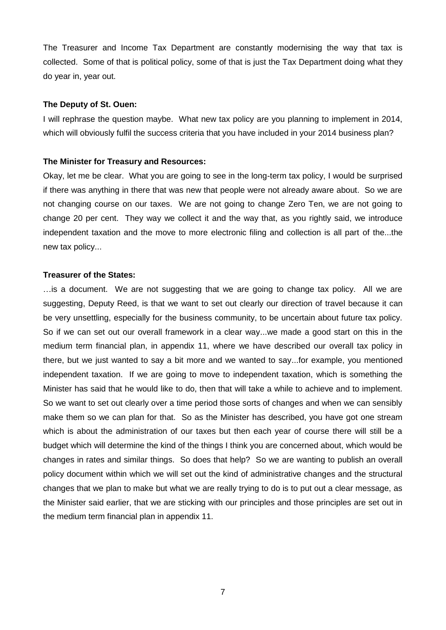The Treasurer and Income Tax Department are constantly modernising the way that tax is collected. Some of that is political policy, some of that is just the Tax Department doing what they do year in, year out.

#### **The Deputy of St. Ouen:**

I will rephrase the question maybe. What new tax policy are you planning to implement in 2014, which will obviously fulfil the success criteria that you have included in your 2014 business plan?

#### **The Minister for Treasury and Resources:**

Okay, let me be clear. What you are going to see in the long-term tax policy, I would be surprised if there was anything in there that was new that people were not already aware about. So we are not changing course on our taxes. We are not going to change Zero Ten, we are not going to change 20 per cent. They way we collect it and the way that, as you rightly said, we introduce independent taxation and the move to more electronic filing and collection is all part of the...the new tax policy...

#### **Treasurer of the States:**

…is a document. We are not suggesting that we are going to change tax policy. All we are suggesting, Deputy Reed, is that we want to set out clearly our direction of travel because it can be very unsettling, especially for the business community, to be uncertain about future tax policy. So if we can set out our overall framework in a clear way...we made a good start on this in the medium term financial plan, in appendix 11, where we have described our overall tax policy in there, but we just wanted to say a bit more and we wanted to say...for example, you mentioned independent taxation. If we are going to move to independent taxation, which is something the Minister has said that he would like to do, then that will take a while to achieve and to implement. So we want to set out clearly over a time period those sorts of changes and when we can sensibly make them so we can plan for that. So as the Minister has described, you have got one stream which is about the administration of our taxes but then each year of course there will still be a budget which will determine the kind of the things I think you are concerned about, which would be changes in rates and similar things. So does that help? So we are wanting to publish an overall policy document within which we will set out the kind of administrative changes and the structural changes that we plan to make but what we are really trying to do is to put out a clear message, as the Minister said earlier, that we are sticking with our principles and those principles are set out in the medium term financial plan in appendix 11.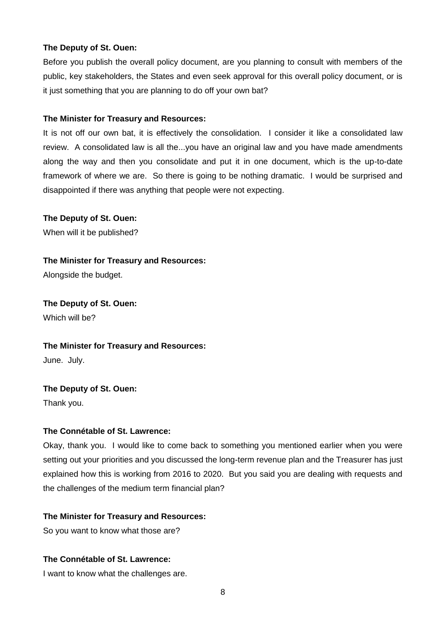Before you publish the overall policy document, are you planning to consult with members of the public, key stakeholders, the States and even seek approval for this overall policy document, or is it just something that you are planning to do off your own bat?

## **The Minister for Treasury and Resources:**

It is not off our own bat, it is effectively the consolidation. I consider it like a consolidated law review. A consolidated law is all the...you have an original law and you have made amendments along the way and then you consolidate and put it in one document, which is the up-to-date framework of where we are. So there is going to be nothing dramatic. I would be surprised and disappointed if there was anything that people were not expecting.

# **The Deputy of St. Ouen:**

When will it be published?

# **The Minister for Treasury and Resources:**

Alongside the budget.

**The Deputy of St. Ouen:** Which will be?

**The Minister for Treasury and Resources:**

June. July.

# **The Deputy of St. Ouen:** Thank you.

# **The Connétable of St. Lawrence:**

Okay, thank you. I would like to come back to something you mentioned earlier when you were setting out your priorities and you discussed the long-term revenue plan and the Treasurer has just explained how this is working from 2016 to 2020. But you said you are dealing with requests and the challenges of the medium term financial plan?

# **The Minister for Treasury and Resources:**

So you want to know what those are?

# **The Connétable of St. Lawrence:**

I want to know what the challenges are.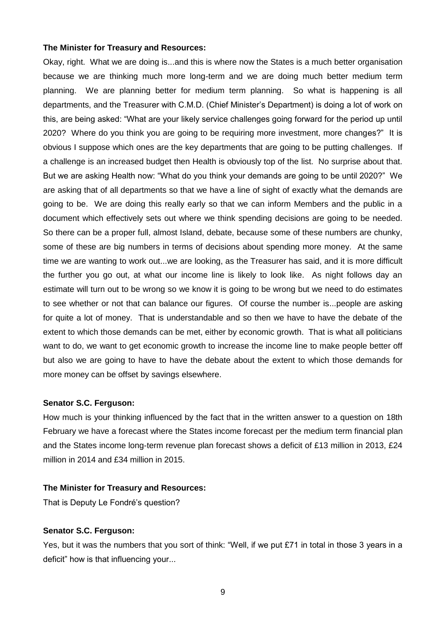Okay, right. What we are doing is...and this is where now the States is a much better organisation because we are thinking much more long-term and we are doing much better medium term planning. We are planning better for medium term planning. So what is happening is all departments, and the Treasurer with C.M.D. (Chief Minister's Department) is doing a lot of work on this, are being asked: "What are your likely service challenges going forward for the period up until 2020? Where do you think you are going to be requiring more investment, more changes?" It is obvious I suppose which ones are the key departments that are going to be putting challenges. If a challenge is an increased budget then Health is obviously top of the list. No surprise about that. But we are asking Health now: "What do you think your demands are going to be until 2020?" We are asking that of all departments so that we have a line of sight of exactly what the demands are going to be. We are doing this really early so that we can inform Members and the public in a document which effectively sets out where we think spending decisions are going to be needed. So there can be a proper full, almost Island, debate, because some of these numbers are chunky, some of these are big numbers in terms of decisions about spending more money. At the same time we are wanting to work out...we are looking, as the Treasurer has said, and it is more difficult the further you go out, at what our income line is likely to look like. As night follows day an estimate will turn out to be wrong so we know it is going to be wrong but we need to do estimates to see whether or not that can balance our figures. Of course the number is...people are asking for quite a lot of money. That is understandable and so then we have to have the debate of the extent to which those demands can be met, either by economic growth. That is what all politicians want to do, we want to get economic growth to increase the income line to make people better off but also we are going to have to have the debate about the extent to which those demands for more money can be offset by savings elsewhere.

#### **Senator S.C. Ferguson:**

How much is your thinking influenced by the fact that in the written answer to a question on 18th February we have a forecast where the States income forecast per the medium term financial plan and the States income long-term revenue plan forecast shows a deficit of £13 million in 2013, £24 million in 2014 and £34 million in 2015.

#### **The Minister for Treasury and Resources:**

That is Deputy Le Fondré's question?

#### **Senator S.C. Ferguson:**

Yes, but it was the numbers that you sort of think: "Well, if we put £71 in total in those 3 years in a deficit" how is that influencing your...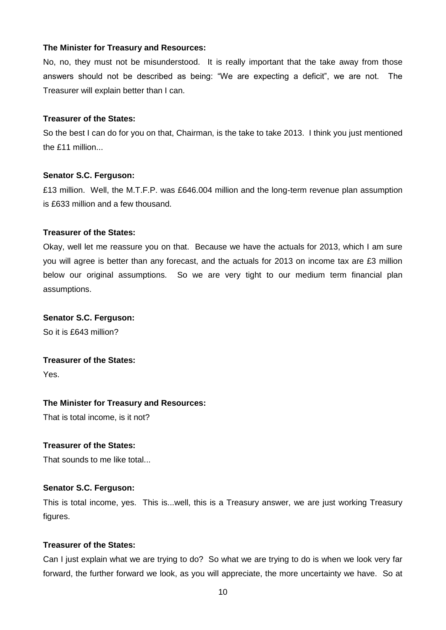No, no, they must not be misunderstood. It is really important that the take away from those answers should not be described as being: "We are expecting a deficit", we are not. The Treasurer will explain better than I can.

# **Treasurer of the States:**

So the best I can do for you on that, Chairman, is the take to take 2013. I think you just mentioned the £11 million...

## **Senator S.C. Ferguson:**

£13 million. Well, the M.T.F.P. was £646.004 million and the long-term revenue plan assumption is £633 million and a few thousand.

# **Treasurer of the States:**

Okay, well let me reassure you on that. Because we have the actuals for 2013, which I am sure you will agree is better than any forecast, and the actuals for 2013 on income tax are £3 million below our original assumptions. So we are very tight to our medium term financial plan assumptions.

## **Senator S.C. Ferguson:**

So it is £643 million?

# **Treasurer of the States:**

Yes.

# **The Minister for Treasury and Resources:**

That is total income, is it not?

# **Treasurer of the States:**

That sounds to me like total...

# **Senator S.C. Ferguson:**

This is total income, yes. This is...well, this is a Treasury answer, we are just working Treasury figures.

# **Treasurer of the States:**

Can I just explain what we are trying to do? So what we are trying to do is when we look very far forward, the further forward we look, as you will appreciate, the more uncertainty we have. So at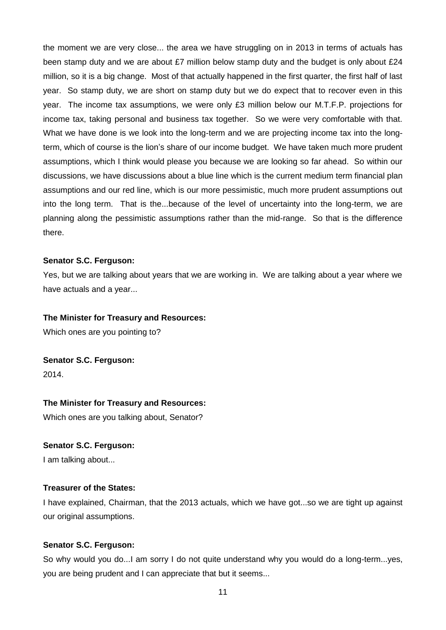the moment we are very close... the area we have struggling on in 2013 in terms of actuals has been stamp duty and we are about £7 million below stamp duty and the budget is only about £24 million, so it is a big change. Most of that actually happened in the first quarter, the first half of last year. So stamp duty, we are short on stamp duty but we do expect that to recover even in this year. The income tax assumptions, we were only £3 million below our M.T.F.P. projections for income tax, taking personal and business tax together. So we were very comfortable with that. What we have done is we look into the long-term and we are projecting income tax into the longterm, which of course is the lion's share of our income budget. We have taken much more prudent assumptions, which I think would please you because we are looking so far ahead. So within our discussions, we have discussions about a blue line which is the current medium term financial plan assumptions and our red line, which is our more pessimistic, much more prudent assumptions out into the long term. That is the...because of the level of uncertainty into the long-term, we are planning along the pessimistic assumptions rather than the mid-range. So that is the difference there.

## **Senator S.C. Ferguson:**

Yes, but we are talking about years that we are working in. We are talking about a year where we have actuals and a year...

#### **The Minister for Treasury and Resources:**

Which ones are you pointing to?

**Senator S.C. Ferguson:** 2014.

#### **The Minister for Treasury and Resources:**

Which ones are you talking about, Senator?

#### **Senator S.C. Ferguson:**

I am talking about...

# **Treasurer of the States:**

I have explained, Chairman, that the 2013 actuals, which we have got...so we are tight up against our original assumptions.

#### **Senator S.C. Ferguson:**

So why would you do...I am sorry I do not quite understand why you would do a long-term...yes, you are being prudent and I can appreciate that but it seems...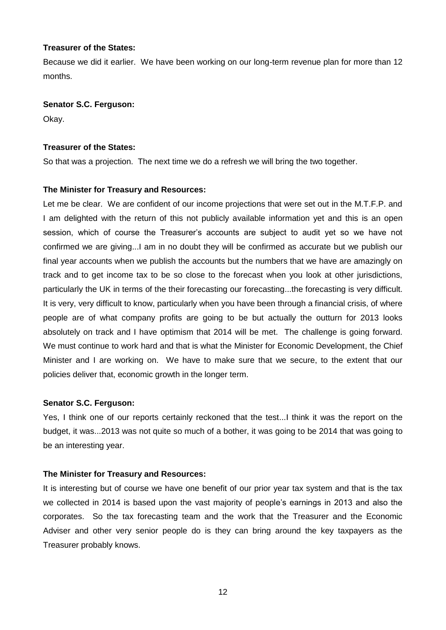## **Treasurer of the States:**

Because we did it earlier. We have been working on our long-term revenue plan for more than 12 months.

## **Senator S.C. Ferguson:**

Okay.

## **Treasurer of the States:**

So that was a projection. The next time we do a refresh we will bring the two together.

# **The Minister for Treasury and Resources:**

Let me be clear. We are confident of our income projections that were set out in the M.T.F.P. and I am delighted with the return of this not publicly available information yet and this is an open session, which of course the Treasurer's accounts are subject to audit yet so we have not confirmed we are giving...I am in no doubt they will be confirmed as accurate but we publish our final year accounts when we publish the accounts but the numbers that we have are amazingly on track and to get income tax to be so close to the forecast when you look at other jurisdictions, particularly the UK in terms of the their forecasting our forecasting...the forecasting is very difficult. It is very, very difficult to know, particularly when you have been through a financial crisis, of where people are of what company profits are going to be but actually the outturn for 2013 looks absolutely on track and I have optimism that 2014 will be met. The challenge is going forward. We must continue to work hard and that is what the Minister for Economic Development, the Chief Minister and I are working on. We have to make sure that we secure, to the extent that our policies deliver that, economic growth in the longer term.

# **Senator S.C. Ferguson:**

Yes, I think one of our reports certainly reckoned that the test...I think it was the report on the budget, it was...2013 was not quite so much of a bother, it was going to be 2014 that was going to be an interesting year.

# **The Minister for Treasury and Resources:**

It is interesting but of course we have one benefit of our prior year tax system and that is the tax we collected in 2014 is based upon the vast majority of people's earnings in 2013 and also the corporates. So the tax forecasting team and the work that the Treasurer and the Economic Adviser and other very senior people do is they can bring around the key taxpayers as the Treasurer probably knows.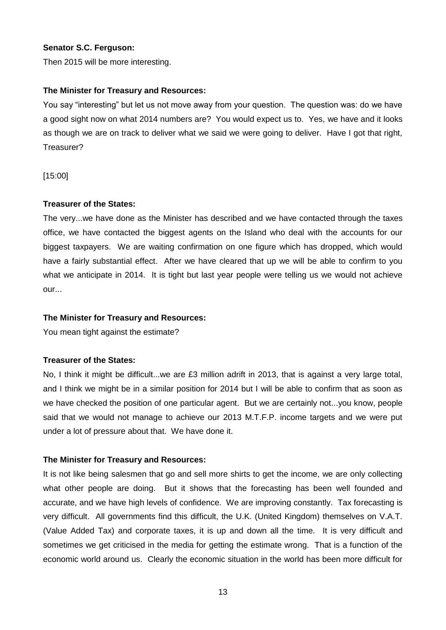## **Senator S.C. Ferguson:**

Then 2015 will be more interesting.

## **The Minister for Treasury and Resources:**

You say "interesting" but let us not move away from your question. The question was: do we have a good sight now on what 2014 numbers are? You would expect us to. Yes, we have and it looks as though we are on track to deliver what we said we were going to deliver. Have I got that right, Treasurer?

[15:00]

## **Treasurer of the States:**

The very...we have done as the Minister has described and we have contacted through the taxes office, we have contacted the biggest agents on the Island who deal with the accounts for our biggest taxpayers. We are waiting confirmation on one figure which has dropped, which would have a fairly substantial effect. After we have cleared that up we will be able to confirm to you what we anticipate in 2014. It is tight but last year people were telling us we would not achieve our...

## **The Minister for Treasury and Resources:**

You mean tight against the estimate?

# **Treasurer of the States:**

No, I think it might be difficult...we are £3 million adrift in 2013, that is against a very large total, and I think we might be in a similar position for 2014 but I will be able to confirm that as soon as we have checked the position of one particular agent. But we are certainly not...you know, people said that we would not manage to achieve our 2013 M.T.F.P. income targets and we were put under a lot of pressure about that. We have done it.

# **The Minister for Treasury and Resources:**

It is not like being salesmen that go and sell more shirts to get the income, we are only collecting what other people are doing. But it shows that the forecasting has been well founded and accurate, and we have high levels of confidence. We are improving constantly. Tax forecasting is very difficult. All governments find this difficult, the U.K. (United Kingdom) themselves on V.A.T. (Value Added Tax) and corporate taxes, it is up and down all the time. It is very difficult and sometimes we get criticised in the media for getting the estimate wrong. That is a function of the economic world around us. Clearly the economic situation in the world has been more difficult for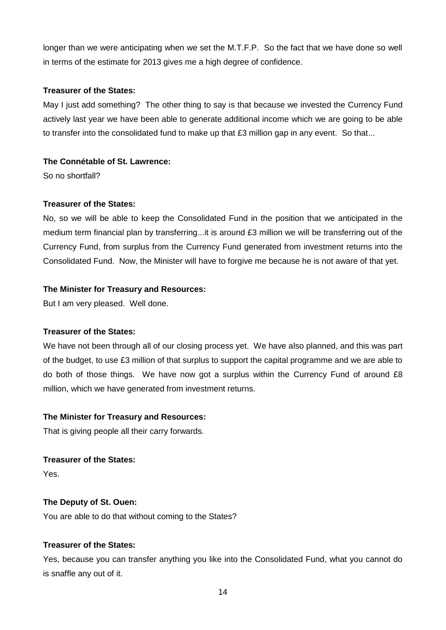longer than we were anticipating when we set the M.T.F.P. So the fact that we have done so well in terms of the estimate for 2013 gives me a high degree of confidence.

## **Treasurer of the States:**

May I just add something? The other thing to say is that because we invested the Currency Fund actively last year we have been able to generate additional income which we are going to be able to transfer into the consolidated fund to make up that £3 million gap in any event. So that...

# **The Connétable of St. Lawrence:**

So no shortfall?

# **Treasurer of the States:**

No, so we will be able to keep the Consolidated Fund in the position that we anticipated in the medium term financial plan by transferring...it is around £3 million we will be transferring out of the Currency Fund, from surplus from the Currency Fund generated from investment returns into the Consolidated Fund. Now, the Minister will have to forgive me because he is not aware of that yet.

## **The Minister for Treasury and Resources:**

But I am very pleased. Well done.

# **Treasurer of the States:**

We have not been through all of our closing process yet. We have also planned, and this was part of the budget, to use £3 million of that surplus to support the capital programme and we are able to do both of those things. We have now got a surplus within the Currency Fund of around £8 million, which we have generated from investment returns.

# **The Minister for Treasury and Resources:**

That is giving people all their carry forwards.

**Treasurer of the States:**

Yes.

# **The Deputy of St. Ouen:**

You are able to do that without coming to the States?

# **Treasurer of the States:**

Yes, because you can transfer anything you like into the Consolidated Fund, what you cannot do is snaffle any out of it.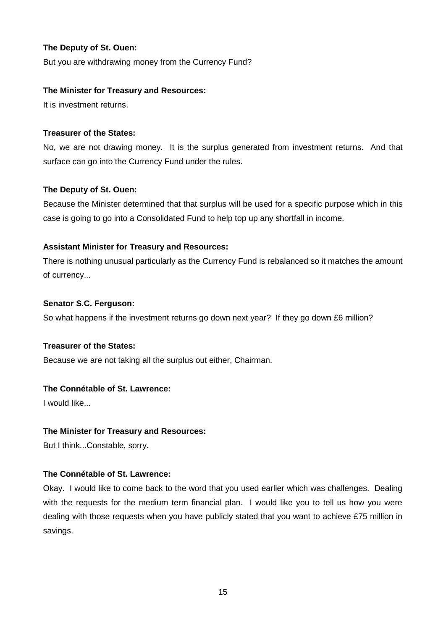But you are withdrawing money from the Currency Fund?

# **The Minister for Treasury and Resources:**

It is investment returns.

# **Treasurer of the States:**

No, we are not drawing money. It is the surplus generated from investment returns. And that surface can go into the Currency Fund under the rules.

# **The Deputy of St. Ouen:**

Because the Minister determined that that surplus will be used for a specific purpose which in this case is going to go into a Consolidated Fund to help top up any shortfall in income.

# **Assistant Minister for Treasury and Resources:**

There is nothing unusual particularly as the Currency Fund is rebalanced so it matches the amount of currency...

# **Senator S.C. Ferguson:**

So what happens if the investment returns go down next year? If they go down £6 million?

# **Treasurer of the States:**

Because we are not taking all the surplus out either, Chairman.

# **The Connétable of St. Lawrence:**

I would like...

# **The Minister for Treasury and Resources:**

But I think...Constable, sorry.

# **The Connétable of St. Lawrence:**

Okay. I would like to come back to the word that you used earlier which was challenges. Dealing with the requests for the medium term financial plan. I would like you to tell us how you were dealing with those requests when you have publicly stated that you want to achieve £75 million in savings.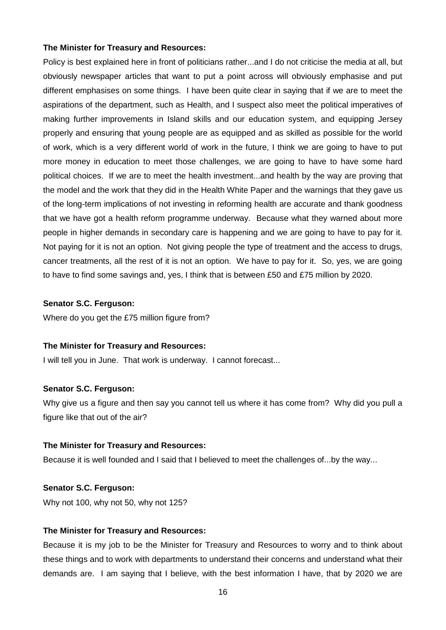Policy is best explained here in front of politicians rather...and I do not criticise the media at all, but obviously newspaper articles that want to put a point across will obviously emphasise and put different emphasises on some things. I have been quite clear in saying that if we are to meet the aspirations of the department, such as Health, and I suspect also meet the political imperatives of making further improvements in Island skills and our education system, and equipping Jersey properly and ensuring that young people are as equipped and as skilled as possible for the world of work, which is a very different world of work in the future, I think we are going to have to put more money in education to meet those challenges, we are going to have to have some hard political choices. If we are to meet the health investment...and health by the way are proving that the model and the work that they did in the Health White Paper and the warnings that they gave us of the long-term implications of not investing in reforming health are accurate and thank goodness that we have got a health reform programme underway. Because what they warned about more people in higher demands in secondary care is happening and we are going to have to pay for it. Not paying for it is not an option. Not giving people the type of treatment and the access to drugs, cancer treatments, all the rest of it is not an option. We have to pay for it. So, yes, we are going to have to find some savings and, yes, I think that is between £50 and £75 million by 2020.

## **Senator S.C. Ferguson:**

Where do you get the £75 million figure from?

#### **The Minister for Treasury and Resources:**

I will tell you in June. That work is underway. I cannot forecast...

#### **Senator S.C. Ferguson:**

Why give us a figure and then say you cannot tell us where it has come from? Why did you pull a figure like that out of the air?

#### **The Minister for Treasury and Resources:**

Because it is well founded and I said that I believed to meet the challenges of...by the way...

## **Senator S.C. Ferguson:**

Why not 100, why not 50, why not 125?

#### **The Minister for Treasury and Resources:**

Because it is my job to be the Minister for Treasury and Resources to worry and to think about these things and to work with departments to understand their concerns and understand what their demands are. I am saying that I believe, with the best information I have, that by 2020 we are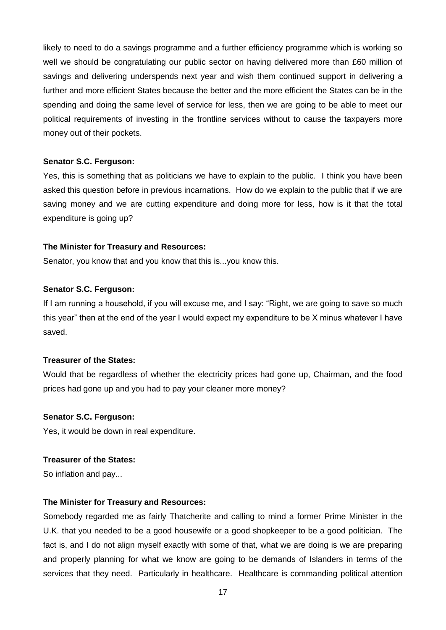likely to need to do a savings programme and a further efficiency programme which is working so well we should be congratulating our public sector on having delivered more than £60 million of savings and delivering underspends next year and wish them continued support in delivering a further and more efficient States because the better and the more efficient the States can be in the spending and doing the same level of service for less, then we are going to be able to meet our political requirements of investing in the frontline services without to cause the taxpayers more money out of their pockets.

#### **Senator S.C. Ferguson:**

Yes, this is something that as politicians we have to explain to the public. I think you have been asked this question before in previous incarnations. How do we explain to the public that if we are saving money and we are cutting expenditure and doing more for less, how is it that the total expenditure is going up?

## **The Minister for Treasury and Resources:**

Senator, you know that and you know that this is...you know this.

## **Senator S.C. Ferguson:**

If I am running a household, if you will excuse me, and I say: "Right, we are going to save so much this year" then at the end of the year I would expect my expenditure to be X minus whatever I have saved.

# **Treasurer of the States:**

Would that be regardless of whether the electricity prices had gone up, Chairman, and the food prices had gone up and you had to pay your cleaner more money?

#### **Senator S.C. Ferguson:**

Yes, it would be down in real expenditure.

#### **Treasurer of the States:**

So inflation and pay...

# **The Minister for Treasury and Resources:**

Somebody regarded me as fairly Thatcherite and calling to mind a former Prime Minister in the U.K. that you needed to be a good housewife or a good shopkeeper to be a good politician. The fact is, and I do not align myself exactly with some of that, what we are doing is we are preparing and properly planning for what we know are going to be demands of Islanders in terms of the services that they need. Particularly in healthcare. Healthcare is commanding political attention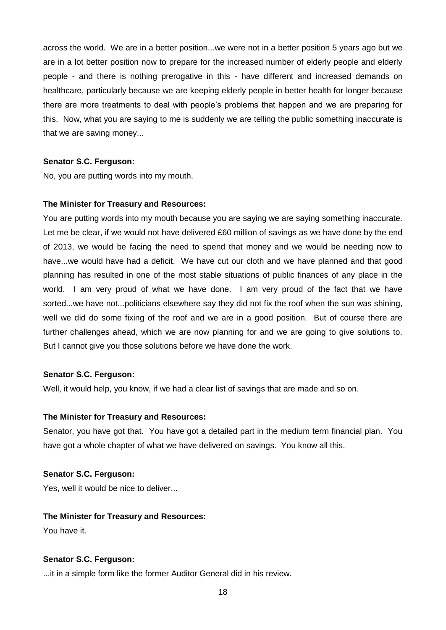across the world. We are in a better position...we were not in a better position 5 years ago but we are in a lot better position now to prepare for the increased number of elderly people and elderly people - and there is nothing prerogative in this - have different and increased demands on healthcare, particularly because we are keeping elderly people in better health for longer because there are more treatments to deal with people's problems that happen and we are preparing for this. Now, what you are saying to me is suddenly we are telling the public something inaccurate is that we are saving money...

## **Senator S.C. Ferguson:**

No, you are putting words into my mouth.

## **The Minister for Treasury and Resources:**

You are putting words into my mouth because you are saying we are saying something inaccurate. Let me be clear, if we would not have delivered £60 million of savings as we have done by the end of 2013, we would be facing the need to spend that money and we would be needing now to have...we would have had a deficit. We have cut our cloth and we have planned and that good planning has resulted in one of the most stable situations of public finances of any place in the world. I am very proud of what we have done. I am very proud of the fact that we have sorted...we have not...politicians elsewhere say they did not fix the roof when the sun was shining, well we did do some fixing of the roof and we are in a good position. But of course there are further challenges ahead, which we are now planning for and we are going to give solutions to. But I cannot give you those solutions before we have done the work.

#### **Senator S.C. Ferguson:**

Well, it would help, you know, if we had a clear list of savings that are made and so on.

#### **The Minister for Treasury and Resources:**

Senator, you have got that. You have got a detailed part in the medium term financial plan. You have got a whole chapter of what we have delivered on savings. You know all this.

#### **Senator S.C. Ferguson:**

Yes, well it would be nice to deliver...

# **The Minister for Treasury and Resources:**

You have it.

# **Senator S.C. Ferguson:**

...it in a simple form like the former Auditor General did in his review.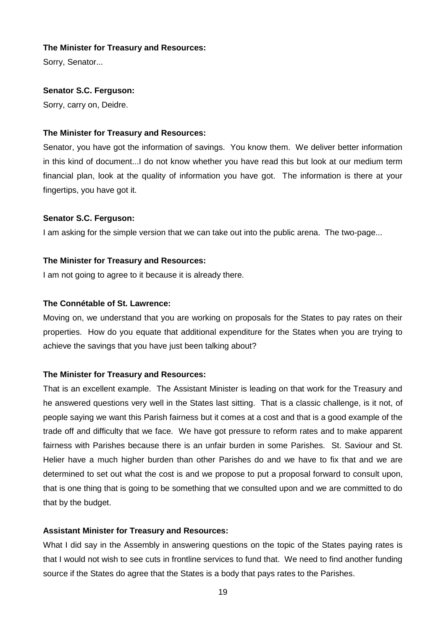Sorry, Senator...

## **Senator S.C. Ferguson:**

Sorry, carry on, Deidre.

## **The Minister for Treasury and Resources:**

Senator, you have got the information of savings. You know them. We deliver better information in this kind of document...I do not know whether you have read this but look at our medium term financial plan, look at the quality of information you have got. The information is there at your fingertips, you have got it.

## **Senator S.C. Ferguson:**

I am asking for the simple version that we can take out into the public arena. The two-page...

## **The Minister for Treasury and Resources:**

I am not going to agree to it because it is already there.

## **The Connétable of St. Lawrence:**

Moving on, we understand that you are working on proposals for the States to pay rates on their properties. How do you equate that additional expenditure for the States when you are trying to achieve the savings that you have just been talking about?

# **The Minister for Treasury and Resources:**

That is an excellent example. The Assistant Minister is leading on that work for the Treasury and he answered questions very well in the States last sitting. That is a classic challenge, is it not, of people saying we want this Parish fairness but it comes at a cost and that is a good example of the trade off and difficulty that we face. We have got pressure to reform rates and to make apparent fairness with Parishes because there is an unfair burden in some Parishes. St. Saviour and St. Helier have a much higher burden than other Parishes do and we have to fix that and we are determined to set out what the cost is and we propose to put a proposal forward to consult upon, that is one thing that is going to be something that we consulted upon and we are committed to do that by the budget.

#### **Assistant Minister for Treasury and Resources:**

What I did say in the Assembly in answering questions on the topic of the States paying rates is that I would not wish to see cuts in frontline services to fund that. We need to find another funding source if the States do agree that the States is a body that pays rates to the Parishes.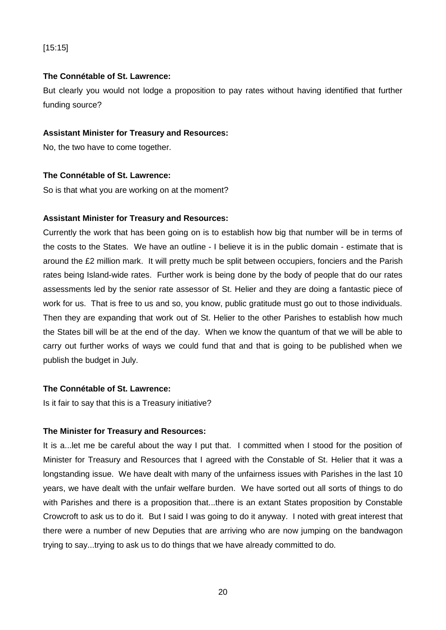# [15:15]

## **The Connétable of St. Lawrence:**

But clearly you would not lodge a proposition to pay rates without having identified that further funding source?

## **Assistant Minister for Treasury and Resources:**

No, the two have to come together.

## **The Connétable of St. Lawrence:**

So is that what you are working on at the moment?

## **Assistant Minister for Treasury and Resources:**

Currently the work that has been going on is to establish how big that number will be in terms of the costs to the States. We have an outline - I believe it is in the public domain - estimate that is around the £2 million mark. It will pretty much be split between occupiers, fonciers and the Parish rates being Island-wide rates. Further work is being done by the body of people that do our rates assessments led by the senior rate assessor of St. Helier and they are doing a fantastic piece of work for us. That is free to us and so, you know, public gratitude must go out to those individuals. Then they are expanding that work out of St. Helier to the other Parishes to establish how much the States bill will be at the end of the day. When we know the quantum of that we will be able to carry out further works of ways we could fund that and that is going to be published when we publish the budget in July.

# **The Connétable of St. Lawrence:**

Is it fair to say that this is a Treasury initiative?

#### **The Minister for Treasury and Resources:**

It is a...let me be careful about the way I put that. I committed when I stood for the position of Minister for Treasury and Resources that I agreed with the Constable of St. Helier that it was a longstanding issue. We have dealt with many of the unfairness issues with Parishes in the last 10 years, we have dealt with the unfair welfare burden. We have sorted out all sorts of things to do with Parishes and there is a proposition that...there is an extant States proposition by Constable Crowcroft to ask us to do it. But I said I was going to do it anyway. I noted with great interest that there were a number of new Deputies that are arriving who are now jumping on the bandwagon trying to say...trying to ask us to do things that we have already committed to do.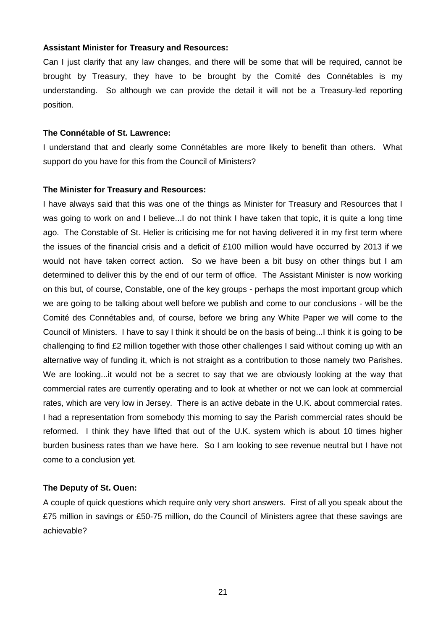#### **Assistant Minister for Treasury and Resources:**

Can I just clarify that any law changes, and there will be some that will be required, cannot be brought by Treasury, they have to be brought by the Comité des Connétables is my understanding. So although we can provide the detail it will not be a Treasury-led reporting position.

## **The Connétable of St. Lawrence:**

I understand that and clearly some Connétables are more likely to benefit than others. What support do you have for this from the Council of Ministers?

## **The Minister for Treasury and Resources:**

I have always said that this was one of the things as Minister for Treasury and Resources that I was going to work on and I believe...I do not think I have taken that topic, it is quite a long time ago. The Constable of St. Helier is criticising me for not having delivered it in my first term where the issues of the financial crisis and a deficit of £100 million would have occurred by 2013 if we would not have taken correct action. So we have been a bit busy on other things but I am determined to deliver this by the end of our term of office. The Assistant Minister is now working on this but, of course, Constable, one of the key groups - perhaps the most important group which we are going to be talking about well before we publish and come to our conclusions - will be the Comité des Connétables and, of course, before we bring any White Paper we will come to the Council of Ministers. I have to say I think it should be on the basis of being...I think it is going to be challenging to find £2 million together with those other challenges I said without coming up with an alternative way of funding it, which is not straight as a contribution to those namely two Parishes. We are looking...it would not be a secret to say that we are obviously looking at the way that commercial rates are currently operating and to look at whether or not we can look at commercial rates, which are very low in Jersey. There is an active debate in the U.K. about commercial rates. I had a representation from somebody this morning to say the Parish commercial rates should be reformed. I think they have lifted that out of the U.K. system which is about 10 times higher burden business rates than we have here. So I am looking to see revenue neutral but I have not come to a conclusion yet.

# **The Deputy of St. Ouen:**

A couple of quick questions which require only very short answers. First of all you speak about the £75 million in savings or £50-75 million, do the Council of Ministers agree that these savings are achievable?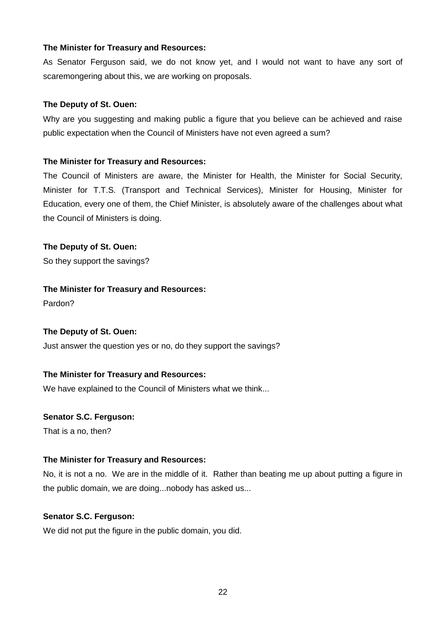As Senator Ferguson said, we do not know yet, and I would not want to have any sort of scaremongering about this, we are working on proposals.

# **The Deputy of St. Ouen:**

Why are you suggesting and making public a figure that you believe can be achieved and raise public expectation when the Council of Ministers have not even agreed a sum?

# **The Minister for Treasury and Resources:**

The Council of Ministers are aware, the Minister for Health, the Minister for Social Security, Minister for T.T.S. (Transport and Technical Services), Minister for Housing, Minister for Education, every one of them, the Chief Minister, is absolutely aware of the challenges about what the Council of Ministers is doing.

# **The Deputy of St. Ouen:**

So they support the savings?

# **The Minister for Treasury and Resources:**

Pardon?

# **The Deputy of St. Ouen:**

Just answer the question yes or no, do they support the savings?

# **The Minister for Treasury and Resources:**

We have explained to the Council of Ministers what we think...

# **Senator S.C. Ferguson:**

That is a no, then?

# **The Minister for Treasury and Resources:**

No, it is not a no. We are in the middle of it. Rather than beating me up about putting a figure in the public domain, we are doing...nobody has asked us...

# **Senator S.C. Ferguson:**

We did not put the figure in the public domain, you did.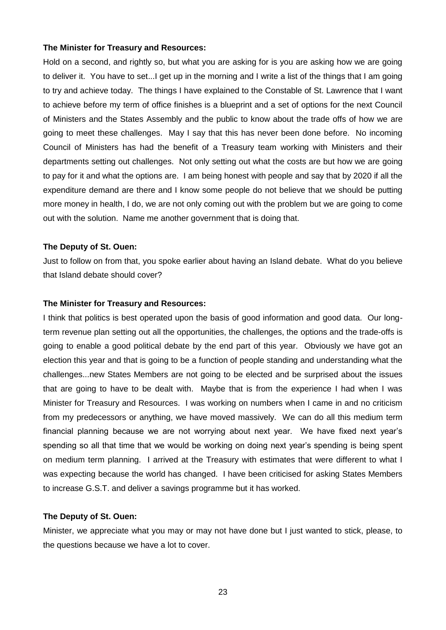Hold on a second, and rightly so, but what you are asking for is you are asking how we are going to deliver it. You have to set...I get up in the morning and I write a list of the things that I am going to try and achieve today. The things I have explained to the Constable of St. Lawrence that I want to achieve before my term of office finishes is a blueprint and a set of options for the next Council of Ministers and the States Assembly and the public to know about the trade offs of how we are going to meet these challenges. May I say that this has never been done before. No incoming Council of Ministers has had the benefit of a Treasury team working with Ministers and their departments setting out challenges. Not only setting out what the costs are but how we are going to pay for it and what the options are. I am being honest with people and say that by 2020 if all the expenditure demand are there and I know some people do not believe that we should be putting more money in health, I do, we are not only coming out with the problem but we are going to come out with the solution. Name me another government that is doing that.

#### **The Deputy of St. Ouen:**

Just to follow on from that, you spoke earlier about having an Island debate. What do you believe that Island debate should cover?

#### **The Minister for Treasury and Resources:**

I think that politics is best operated upon the basis of good information and good data. Our longterm revenue plan setting out all the opportunities, the challenges, the options and the trade-offs is going to enable a good political debate by the end part of this year. Obviously we have got an election this year and that is going to be a function of people standing and understanding what the challenges...new States Members are not going to be elected and be surprised about the issues that are going to have to be dealt with. Maybe that is from the experience I had when I was Minister for Treasury and Resources. I was working on numbers when I came in and no criticism from my predecessors or anything, we have moved massively. We can do all this medium term financial planning because we are not worrying about next year. We have fixed next year's spending so all that time that we would be working on doing next year's spending is being spent on medium term planning. I arrived at the Treasury with estimates that were different to what I was expecting because the world has changed. I have been criticised for asking States Members to increase G.S.T. and deliver a savings programme but it has worked.

#### **The Deputy of St. Ouen:**

Minister, we appreciate what you may or may not have done but I just wanted to stick, please, to the questions because we have a lot to cover.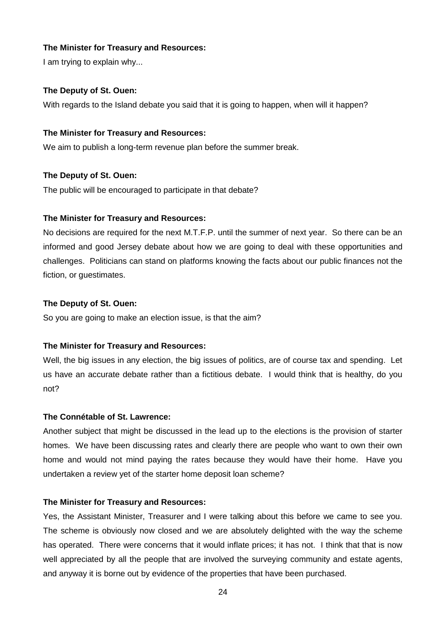I am trying to explain why...

## **The Deputy of St. Ouen:**

With regards to the Island debate you said that it is going to happen, when will it happen?

#### **The Minister for Treasury and Resources:**

We aim to publish a long-term revenue plan before the summer break.

#### **The Deputy of St. Ouen:**

The public will be encouraged to participate in that debate?

#### **The Minister for Treasury and Resources:**

No decisions are required for the next M.T.F.P. until the summer of next year. So there can be an informed and good Jersey debate about how we are going to deal with these opportunities and challenges. Politicians can stand on platforms knowing the facts about our public finances not the fiction, or guestimates.

### **The Deputy of St. Ouen:**

So you are going to make an election issue, is that the aim?

## **The Minister for Treasury and Resources:**

Well, the big issues in any election, the big issues of politics, are of course tax and spending. Let us have an accurate debate rather than a fictitious debate. I would think that is healthy, do you not?

#### **The Connétable of St. Lawrence:**

Another subject that might be discussed in the lead up to the elections is the provision of starter homes. We have been discussing rates and clearly there are people who want to own their own home and would not mind paying the rates because they would have their home. Have you undertaken a review yet of the starter home deposit loan scheme?

# **The Minister for Treasury and Resources:**

Yes, the Assistant Minister, Treasurer and I were talking about this before we came to see you. The scheme is obviously now closed and we are absolutely delighted with the way the scheme has operated. There were concerns that it would inflate prices; it has not. I think that that is now well appreciated by all the people that are involved the surveying community and estate agents, and anyway it is borne out by evidence of the properties that have been purchased.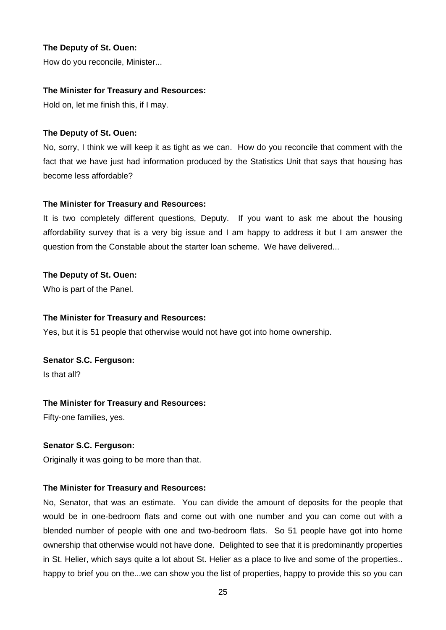How do you reconcile, Minister...

## **The Minister for Treasury and Resources:**

Hold on, let me finish this, if I may.

## **The Deputy of St. Ouen:**

No, sorry, I think we will keep it as tight as we can. How do you reconcile that comment with the fact that we have just had information produced by the Statistics Unit that says that housing has become less affordable?

# **The Minister for Treasury and Resources:**

It is two completely different questions, Deputy. If you want to ask me about the housing affordability survey that is a very big issue and I am happy to address it but I am answer the question from the Constable about the starter loan scheme. We have delivered...

# **The Deputy of St. Ouen:**

Who is part of the Panel.

## **The Minister for Treasury and Resources:**

Yes, but it is 51 people that otherwise would not have got into home ownership.

**Senator S.C. Ferguson:**

Is that all?

# **The Minister for Treasury and Resources:**

Fifty-one families, yes.

# **Senator S.C. Ferguson:**

Originally it was going to be more than that.

# **The Minister for Treasury and Resources:**

No, Senator, that was an estimate. You can divide the amount of deposits for the people that would be in one-bedroom flats and come out with one number and you can come out with a blended number of people with one and two-bedroom flats. So 51 people have got into home ownership that otherwise would not have done. Delighted to see that it is predominantly properties in St. Helier, which says quite a lot about St. Helier as a place to live and some of the properties.. happy to brief you on the...we can show you the list of properties, happy to provide this so you can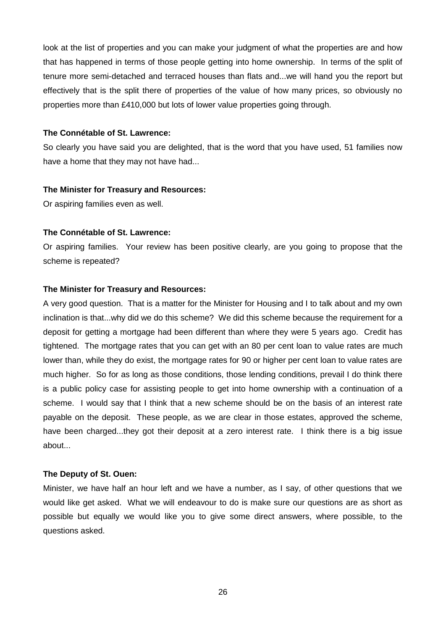look at the list of properties and you can make your judgment of what the properties are and how that has happened in terms of those people getting into home ownership. In terms of the split of tenure more semi-detached and terraced houses than flats and...we will hand you the report but effectively that is the split there of properties of the value of how many prices, so obviously no properties more than £410,000 but lots of lower value properties going through.

#### **The Connétable of St. Lawrence:**

So clearly you have said you are delighted, that is the word that you have used, 51 families now have a home that they may not have had...

#### **The Minister for Treasury and Resources:**

Or aspiring families even as well.

#### **The Connétable of St. Lawrence:**

Or aspiring families. Your review has been positive clearly, are you going to propose that the scheme is repeated?

#### **The Minister for Treasury and Resources:**

A very good question. That is a matter for the Minister for Housing and I to talk about and my own inclination is that...why did we do this scheme? We did this scheme because the requirement for a deposit for getting a mortgage had been different than where they were 5 years ago. Credit has tightened. The mortgage rates that you can get with an 80 per cent loan to value rates are much lower than, while they do exist, the mortgage rates for 90 or higher per cent loan to value rates are much higher. So for as long as those conditions, those lending conditions, prevail I do think there is a public policy case for assisting people to get into home ownership with a continuation of a scheme. I would say that I think that a new scheme should be on the basis of an interest rate payable on the deposit. These people, as we are clear in those estates, approved the scheme, have been charged...they got their deposit at a zero interest rate. I think there is a big issue about...

#### **The Deputy of St. Ouen:**

Minister, we have half an hour left and we have a number, as I say, of other questions that we would like get asked. What we will endeavour to do is make sure our questions are as short as possible but equally we would like you to give some direct answers, where possible, to the questions asked.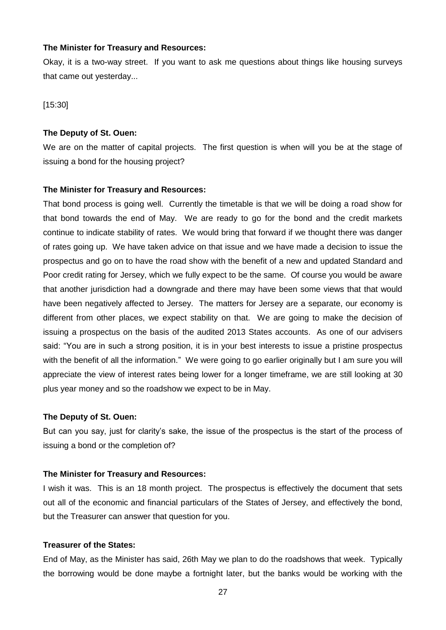Okay, it is a two-way street. If you want to ask me questions about things like housing surveys that came out yesterday...

[15:30]

#### **The Deputy of St. Ouen:**

We are on the matter of capital projects. The first question is when will you be at the stage of issuing a bond for the housing project?

#### **The Minister for Treasury and Resources:**

That bond process is going well. Currently the timetable is that we will be doing a road show for that bond towards the end of May. We are ready to go for the bond and the credit markets continue to indicate stability of rates. We would bring that forward if we thought there was danger of rates going up. We have taken advice on that issue and we have made a decision to issue the prospectus and go on to have the road show with the benefit of a new and updated Standard and Poor credit rating for Jersey, which we fully expect to be the same. Of course you would be aware that another jurisdiction had a downgrade and there may have been some views that that would have been negatively affected to Jersey. The matters for Jersey are a separate, our economy is different from other places, we expect stability on that. We are going to make the decision of issuing a prospectus on the basis of the audited 2013 States accounts. As one of our advisers said: "You are in such a strong position, it is in your best interests to issue a pristine prospectus with the benefit of all the information." We were going to go earlier originally but I am sure you will appreciate the view of interest rates being lower for a longer timeframe, we are still looking at 30 plus year money and so the roadshow we expect to be in May.

#### **The Deputy of St. Ouen:**

But can you say, just for clarity's sake, the issue of the prospectus is the start of the process of issuing a bond or the completion of?

#### **The Minister for Treasury and Resources:**

I wish it was. This is an 18 month project. The prospectus is effectively the document that sets out all of the economic and financial particulars of the States of Jersey, and effectively the bond, but the Treasurer can answer that question for you.

## **Treasurer of the States:**

End of May, as the Minister has said, 26th May we plan to do the roadshows that week. Typically the borrowing would be done maybe a fortnight later, but the banks would be working with the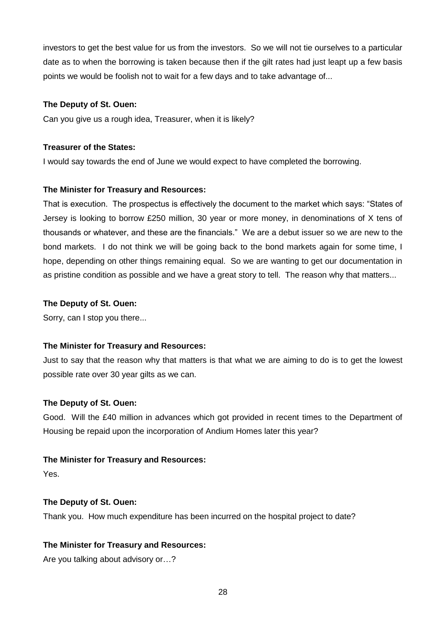investors to get the best value for us from the investors. So we will not tie ourselves to a particular date as to when the borrowing is taken because then if the gilt rates had just leapt up a few basis points we would be foolish not to wait for a few days and to take advantage of...

## **The Deputy of St. Ouen:**

Can you give us a rough idea, Treasurer, when it is likely?

## **Treasurer of the States:**

I would say towards the end of June we would expect to have completed the borrowing.

## **The Minister for Treasury and Resources:**

That is execution. The prospectus is effectively the document to the market which says: "States of Jersey is looking to borrow £250 million, 30 year or more money, in denominations of X tens of thousands or whatever, and these are the financials." We are a debut issuer so we are new to the bond markets. I do not think we will be going back to the bond markets again for some time, I hope, depending on other things remaining equal. So we are wanting to get our documentation in as pristine condition as possible and we have a great story to tell. The reason why that matters...

## **The Deputy of St. Ouen:**

Sorry, can I stop you there...

# **The Minister for Treasury and Resources:**

Just to say that the reason why that matters is that what we are aiming to do is to get the lowest possible rate over 30 year gilts as we can.

# **The Deputy of St. Ouen:**

Good. Will the £40 million in advances which got provided in recent times to the Department of Housing be repaid upon the incorporation of Andium Homes later this year?

#### **The Minister for Treasury and Resources:**

Yes.

# **The Deputy of St. Ouen:**

Thank you. How much expenditure has been incurred on the hospital project to date?

# **The Minister for Treasury and Resources:**

Are you talking about advisory or…?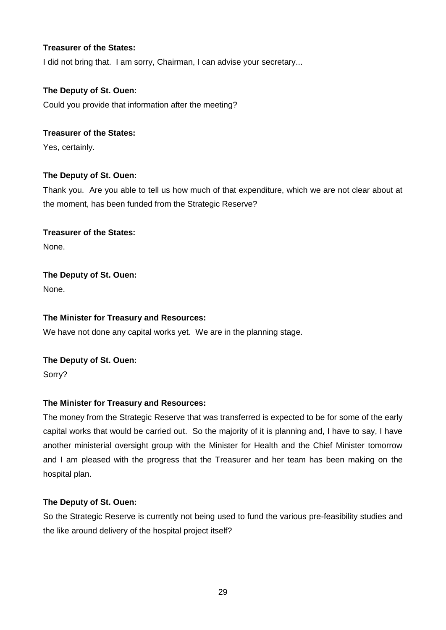# **Treasurer of the States:**

I did not bring that. I am sorry, Chairman, I can advise your secretary...

# **The Deputy of St. Ouen:**

Could you provide that information after the meeting?

# **Treasurer of the States:**

Yes, certainly.

# **The Deputy of St. Ouen:**

Thank you. Are you able to tell us how much of that expenditure, which we are not clear about at the moment, has been funded from the Strategic Reserve?

# **Treasurer of the States:**

None.

# **The Deputy of St. Ouen:**

None.

# **The Minister for Treasury and Resources:**

We have not done any capital works yet. We are in the planning stage.

# **The Deputy of St. Ouen:**

Sorry?

# **The Minister for Treasury and Resources:**

The money from the Strategic Reserve that was transferred is expected to be for some of the early capital works that would be carried out. So the majority of it is planning and, I have to say, I have another ministerial oversight group with the Minister for Health and the Chief Minister tomorrow and I am pleased with the progress that the Treasurer and her team has been making on the hospital plan.

# **The Deputy of St. Ouen:**

So the Strategic Reserve is currently not being used to fund the various pre-feasibility studies and the like around delivery of the hospital project itself?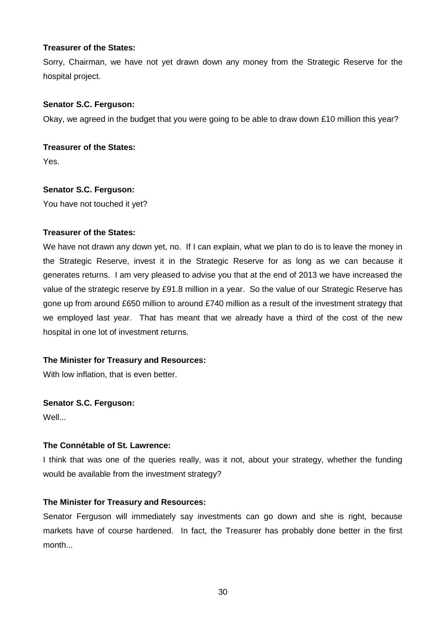# **Treasurer of the States:**

Sorry, Chairman, we have not yet drawn down any money from the Strategic Reserve for the hospital project.

# **Senator S.C. Ferguson:**

Okay, we agreed in the budget that you were going to be able to draw down £10 million this year?

# **Treasurer of the States:**

Yes.

# **Senator S.C. Ferguson:**

You have not touched it yet?

# **Treasurer of the States:**

We have not drawn any down yet, no. If I can explain, what we plan to do is to leave the money in the Strategic Reserve, invest it in the Strategic Reserve for as long as we can because it generates returns. I am very pleased to advise you that at the end of 2013 we have increased the value of the strategic reserve by £91.8 million in a year. So the value of our Strategic Reserve has gone up from around £650 million to around £740 million as a result of the investment strategy that we employed last year. That has meant that we already have a third of the cost of the new hospital in one lot of investment returns.

# **The Minister for Treasury and Resources:**

With low inflation, that is even better.

# **Senator S.C. Ferguson:**

Well...

# **The Connétable of St. Lawrence:**

I think that was one of the queries really, was it not, about your strategy, whether the funding would be available from the investment strategy?

# **The Minister for Treasury and Resources:**

Senator Ferguson will immediately say investments can go down and she is right, because markets have of course hardened. In fact, the Treasurer has probably done better in the first month...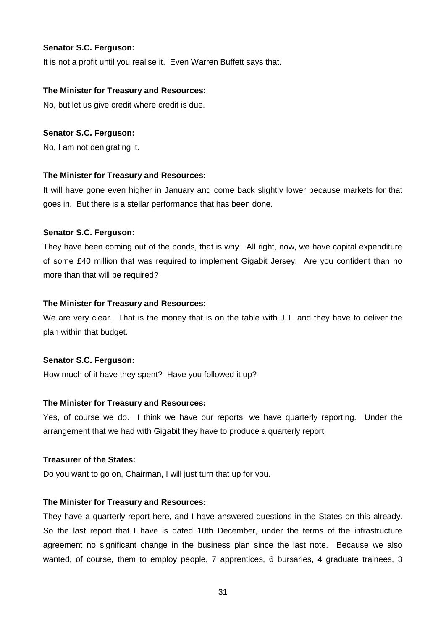## **Senator S.C. Ferguson:**

It is not a profit until you realise it. Even Warren Buffett says that.

## **The Minister for Treasury and Resources:**

No, but let us give credit where credit is due.

#### **Senator S.C. Ferguson:**

No, I am not denigrating it.

#### **The Minister for Treasury and Resources:**

It will have gone even higher in January and come back slightly lower because markets for that goes in. But there is a stellar performance that has been done.

#### **Senator S.C. Ferguson:**

They have been coming out of the bonds, that is why. All right, now, we have capital expenditure of some £40 million that was required to implement Gigabit Jersey. Are you confident than no more than that will be required?

#### **The Minister for Treasury and Resources:**

We are very clear. That is the money that is on the table with J.T. and they have to deliver the plan within that budget.

#### **Senator S.C. Ferguson:**

How much of it have they spent? Have you followed it up?

# **The Minister for Treasury and Resources:**

Yes, of course we do. I think we have our reports, we have quarterly reporting. Under the arrangement that we had with Gigabit they have to produce a quarterly report.

#### **Treasurer of the States:**

Do you want to go on, Chairman, I will just turn that up for you.

#### **The Minister for Treasury and Resources:**

They have a quarterly report here, and I have answered questions in the States on this already. So the last report that I have is dated 10th December, under the terms of the infrastructure agreement no significant change in the business plan since the last note. Because we also wanted, of course, them to employ people, 7 apprentices, 6 bursaries, 4 graduate trainees, 3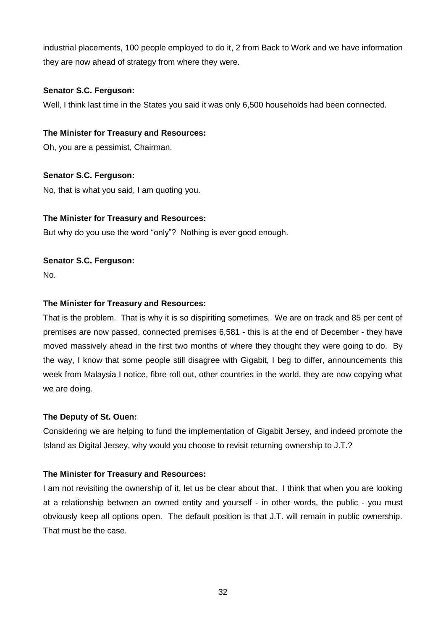industrial placements, 100 people employed to do it, 2 from Back to Work and we have information they are now ahead of strategy from where they were.

# **Senator S.C. Ferguson:**

Well, I think last time in the States you said it was only 6,500 households had been connected.

# **The Minister for Treasury and Resources:**

Oh, you are a pessimist, Chairman.

# **Senator S.C. Ferguson:**

No, that is what you said, I am quoting you.

# **The Minister for Treasury and Resources:**

But why do you use the word "only"? Nothing is ever good enough.

# **Senator S.C. Ferguson:**

No.

# **The Minister for Treasury and Resources:**

That is the problem. That is why it is so dispiriting sometimes. We are on track and 85 per cent of premises are now passed, connected premises 6,581 - this is at the end of December - they have moved massively ahead in the first two months of where they thought they were going to do. By the way, I know that some people still disagree with Gigabit, I beg to differ, announcements this week from Malaysia I notice, fibre roll out, other countries in the world, they are now copying what we are doing.

# **The Deputy of St. Ouen:**

Considering we are helping to fund the implementation of Gigabit Jersey, and indeed promote the Island as Digital Jersey, why would you choose to revisit returning ownership to J.T.?

# **The Minister for Treasury and Resources:**

I am not revisiting the ownership of it, let us be clear about that. I think that when you are looking at a relationship between an owned entity and yourself - in other words, the public - you must obviously keep all options open. The default position is that J.T. will remain in public ownership. That must be the case.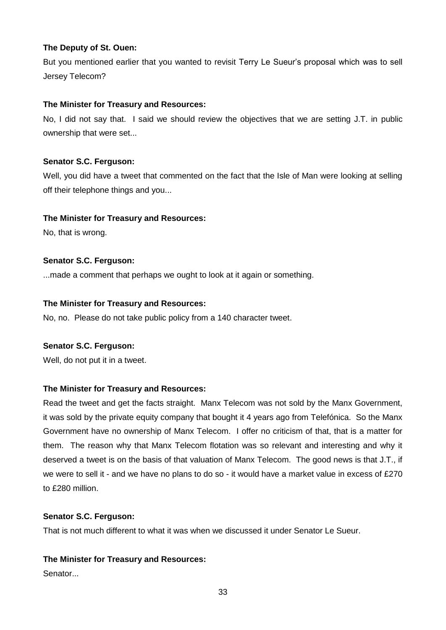But you mentioned earlier that you wanted to revisit Terry Le Sueur's proposal which was to sell Jersey Telecom?

# **The Minister for Treasury and Resources:**

No, I did not say that. I said we should review the objectives that we are setting J.T. in public ownership that were set...

# **Senator S.C. Ferguson:**

Well, you did have a tweet that commented on the fact that the Isle of Man were looking at selling off their telephone things and you...

# **The Minister for Treasury and Resources:**

No, that is wrong.

# **Senator S.C. Ferguson:**

...made a comment that perhaps we ought to look at it again or something.

# **The Minister for Treasury and Resources:**

No, no. Please do not take public policy from a 140 character tweet.

# **Senator S.C. Ferguson:**

Well, do not put it in a tweet.

# **The Minister for Treasury and Resources:**

Read the tweet and get the facts straight. Manx Telecom was not sold by the Manx Government, it was sold by the private equity company that bought it 4 years ago from Telefónica. So the Manx Government have no ownership of Manx Telecom. I offer no criticism of that, that is a matter for them. The reason why that Manx Telecom flotation was so relevant and interesting and why it deserved a tweet is on the basis of that valuation of Manx Telecom. The good news is that J.T., if we were to sell it - and we have no plans to do so - it would have a market value in excess of £270 to £280 million.

# **Senator S.C. Ferguson:**

That is not much different to what it was when we discussed it under Senator Le Sueur.

# **The Minister for Treasury and Resources:**

Senator<sub>...</sub>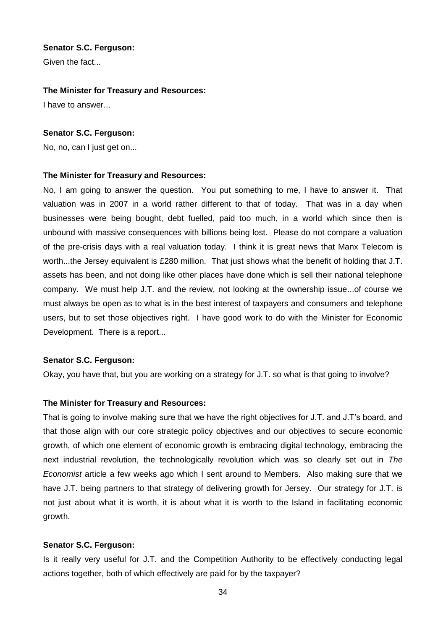## **Senator S.C. Ferguson:**

Given the fact...

#### **The Minister for Treasury and Resources:**

I have to answer...

## **Senator S.C. Ferguson:**

No, no, can I just get on...

## **The Minister for Treasury and Resources:**

No, I am going to answer the question. You put something to me, I have to answer it. That valuation was in 2007 in a world rather different to that of today. That was in a day when businesses were being bought, debt fuelled, paid too much, in a world which since then is unbound with massive consequences with billions being lost. Please do not compare a valuation of the pre-crisis days with a real valuation today. I think it is great news that Manx Telecom is worth...the Jersey equivalent is £280 million. That just shows what the benefit of holding that J.T. assets has been, and not doing like other places have done which is sell their national telephone company. We must help J.T. and the review, not looking at the ownership issue...of course we must always be open as to what is in the best interest of taxpayers and consumers and telephone users, but to set those objectives right. I have good work to do with the Minister for Economic Development. There is a report...

#### **Senator S.C. Ferguson:**

Okay, you have that, but you are working on a strategy for J.T. so what is that going to involve?

# **The Minister for Treasury and Resources:**

That is going to involve making sure that we have the right objectives for J.T. and J.T's board, and that those align with our core strategic policy objectives and our objectives to secure economic growth, of which one element of economic growth is embracing digital technology, embracing the next industrial revolution, the technologically revolution which was so clearly set out in *The Economist* article a few weeks ago which I sent around to Members. Also making sure that we have J.T. being partners to that strategy of delivering growth for Jersey. Our strategy for J.T. is not just about what it is worth, it is about what it is worth to the Island in facilitating economic growth.

#### **Senator S.C. Ferguson:**

Is it really very useful for J.T. and the Competition Authority to be effectively conducting legal actions together, both of which effectively are paid for by the taxpayer?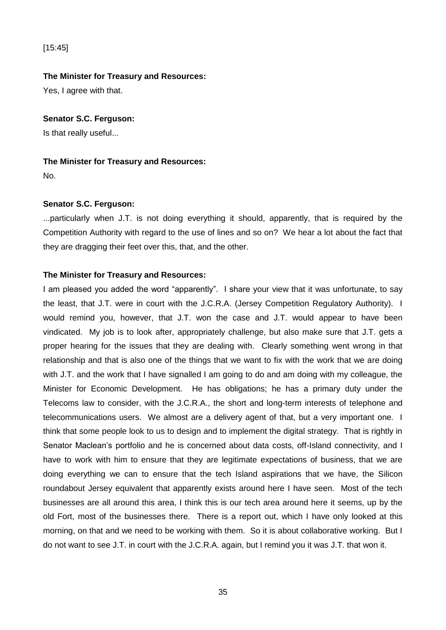# [15:45]

## **The Minister for Treasury and Resources:**

Yes, I agree with that.

## **Senator S.C. Ferguson:**

Is that really useful...

## **The Minister for Treasury and Resources:**

No.

# **Senator S.C. Ferguson:**

...particularly when J.T. is not doing everything it should, apparently, that is required by the Competition Authority with regard to the use of lines and so on? We hear a lot about the fact that they are dragging their feet over this, that, and the other.

# **The Minister for Treasury and Resources:**

I am pleased you added the word "apparently". I share your view that it was unfortunate, to say the least, that J.T. were in court with the J.C.R.A. (Jersey Competition Regulatory Authority). I would remind you, however, that J.T. won the case and J.T. would appear to have been vindicated. My job is to look after, appropriately challenge, but also make sure that J.T. gets a proper hearing for the issues that they are dealing with. Clearly something went wrong in that relationship and that is also one of the things that we want to fix with the work that we are doing with J.T. and the work that I have signalled I am going to do and am doing with my colleague, the Minister for Economic Development. He has obligations; he has a primary duty under the Telecoms law to consider, with the J.C.R.A., the short and long-term interests of telephone and telecommunications users. We almost are a delivery agent of that, but a very important one. I think that some people look to us to design and to implement the digital strategy. That is rightly in Senator Maclean's portfolio and he is concerned about data costs, off-Island connectivity, and I have to work with him to ensure that they are legitimate expectations of business, that we are doing everything we can to ensure that the tech Island aspirations that we have, the Silicon roundabout Jersey equivalent that apparently exists around here I have seen. Most of the tech businesses are all around this area, I think this is our tech area around here it seems, up by the old Fort, most of the businesses there. There is a report out, which I have only looked at this morning, on that and we need to be working with them. So it is about collaborative working. But I do not want to see J.T. in court with the J.C.R.A. again, but I remind you it was J.T. that won it.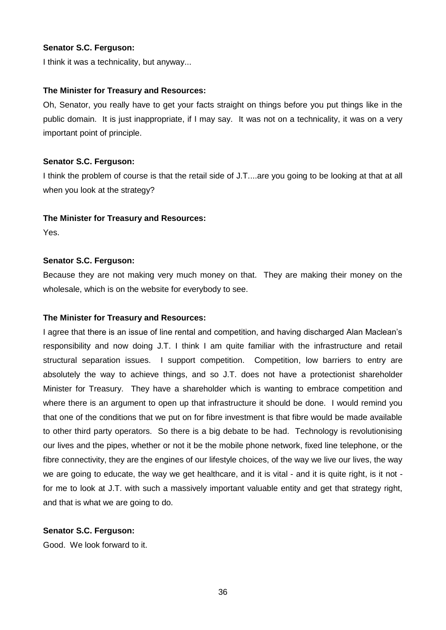# **Senator S.C. Ferguson:**

I think it was a technicality, but anyway...

## **The Minister for Treasury and Resources:**

Oh, Senator, you really have to get your facts straight on things before you put things like in the public domain. It is just inappropriate, if I may say. It was not on a technicality, it was on a very important point of principle.

## **Senator S.C. Ferguson:**

I think the problem of course is that the retail side of J.T....are you going to be looking at that at all when you look at the strategy?

## **The Minister for Treasury and Resources:**

Yes.

# **Senator S.C. Ferguson:**

Because they are not making very much money on that. They are making their money on the wholesale, which is on the website for everybody to see.

# **The Minister for Treasury and Resources:**

I agree that there is an issue of line rental and competition, and having discharged Alan Maclean's responsibility and now doing J.T. I think I am quite familiar with the infrastructure and retail structural separation issues. I support competition. Competition, low barriers to entry are absolutely the way to achieve things, and so J.T. does not have a protectionist shareholder Minister for Treasury. They have a shareholder which is wanting to embrace competition and where there is an argument to open up that infrastructure it should be done. I would remind you that one of the conditions that we put on for fibre investment is that fibre would be made available to other third party operators. So there is a big debate to be had. Technology is revolutionising our lives and the pipes, whether or not it be the mobile phone network, fixed line telephone, or the fibre connectivity, they are the engines of our lifestyle choices, of the way we live our lives, the way we are going to educate, the way we get healthcare, and it is vital - and it is quite right, is it not for me to look at J.T. with such a massively important valuable entity and get that strategy right, and that is what we are going to do.

# **Senator S.C. Ferguson:**

Good. We look forward to it.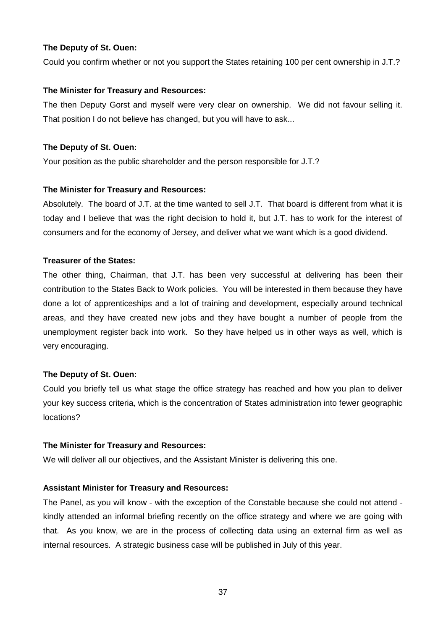Could you confirm whether or not you support the States retaining 100 per cent ownership in J.T.?

## **The Minister for Treasury and Resources:**

The then Deputy Gorst and myself were very clear on ownership. We did not favour selling it. That position I do not believe has changed, but you will have to ask...

## **The Deputy of St. Ouen:**

Your position as the public shareholder and the person responsible for J.T.?

## **The Minister for Treasury and Resources:**

Absolutely. The board of J.T. at the time wanted to sell J.T. That board is different from what it is today and I believe that was the right decision to hold it, but J.T. has to work for the interest of consumers and for the economy of Jersey, and deliver what we want which is a good dividend.

## **Treasurer of the States:**

The other thing, Chairman, that J.T. has been very successful at delivering has been their contribution to the States Back to Work policies. You will be interested in them because they have done a lot of apprenticeships and a lot of training and development, especially around technical areas, and they have created new jobs and they have bought a number of people from the unemployment register back into work. So they have helped us in other ways as well, which is very encouraging.

# **The Deputy of St. Ouen:**

Could you briefly tell us what stage the office strategy has reached and how you plan to deliver your key success criteria, which is the concentration of States administration into fewer geographic locations?

#### **The Minister for Treasury and Resources:**

We will deliver all our objectives, and the Assistant Minister is delivering this one.

# **Assistant Minister for Treasury and Resources:**

The Panel, as you will know - with the exception of the Constable because she could not attend kindly attended an informal briefing recently on the office strategy and where we are going with that. As you know, we are in the process of collecting data using an external firm as well as internal resources. A strategic business case will be published in July of this year.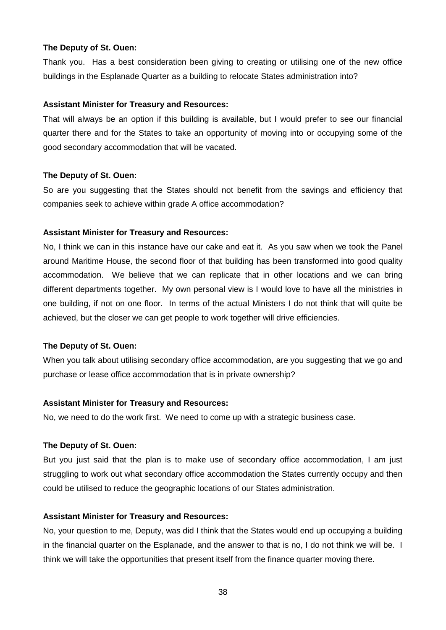Thank you. Has a best consideration been giving to creating or utilising one of the new office buildings in the Esplanade Quarter as a building to relocate States administration into?

## **Assistant Minister for Treasury and Resources:**

That will always be an option if this building is available, but I would prefer to see our financial quarter there and for the States to take an opportunity of moving into or occupying some of the good secondary accommodation that will be vacated.

## **The Deputy of St. Ouen:**

So are you suggesting that the States should not benefit from the savings and efficiency that companies seek to achieve within grade A office accommodation?

## **Assistant Minister for Treasury and Resources:**

No, I think we can in this instance have our cake and eat it. As you saw when we took the Panel around Maritime House, the second floor of that building has been transformed into good quality accommodation. We believe that we can replicate that in other locations and we can bring different departments together. My own personal view is I would love to have all the ministries in one building, if not on one floor. In terms of the actual Ministers I do not think that will quite be achieved, but the closer we can get people to work together will drive efficiencies.

#### **The Deputy of St. Ouen:**

When you talk about utilising secondary office accommodation, are you suggesting that we go and purchase or lease office accommodation that is in private ownership?

# **Assistant Minister for Treasury and Resources:**

No, we need to do the work first. We need to come up with a strategic business case.

# **The Deputy of St. Ouen:**

But you just said that the plan is to make use of secondary office accommodation, I am just struggling to work out what secondary office accommodation the States currently occupy and then could be utilised to reduce the geographic locations of our States administration.

#### **Assistant Minister for Treasury and Resources:**

No, your question to me, Deputy, was did I think that the States would end up occupying a building in the financial quarter on the Esplanade, and the answer to that is no, I do not think we will be. I think we will take the opportunities that present itself from the finance quarter moving there.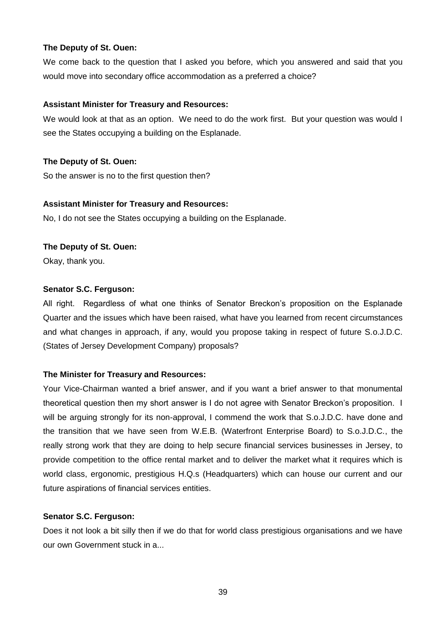We come back to the question that I asked you before, which you answered and said that you would move into secondary office accommodation as a preferred a choice?

# **Assistant Minister for Treasury and Resources:**

We would look at that as an option. We need to do the work first. But your question was would I see the States occupying a building on the Esplanade.

# **The Deputy of St. Ouen:**

So the answer is no to the first question then?

# **Assistant Minister for Treasury and Resources:**

No, I do not see the States occupying a building on the Esplanade.

# **The Deputy of St. Ouen:**

Okay, thank you.

# **Senator S.C. Ferguson:**

All right. Regardless of what one thinks of Senator Breckon's proposition on the Esplanade Quarter and the issues which have been raised, what have you learned from recent circumstances and what changes in approach, if any, would you propose taking in respect of future S.o.J.D.C. (States of Jersey Development Company) proposals?

# **The Minister for Treasury and Resources:**

Your Vice-Chairman wanted a brief answer, and if you want a brief answer to that monumental theoretical question then my short answer is I do not agree with Senator Breckon's proposition. I will be arguing strongly for its non-approval, I commend the work that S.o.J.D.C. have done and the transition that we have seen from W.E.B. (Waterfront Enterprise Board) to S.o.J.D.C., the really strong work that they are doing to help secure financial services businesses in Jersey, to provide competition to the office rental market and to deliver the market what it requires which is world class, ergonomic, prestigious H.Q.s (Headquarters) which can house our current and our future aspirations of financial services entities.

# **Senator S.C. Ferguson:**

Does it not look a bit silly then if we do that for world class prestigious organisations and we have our own Government stuck in a...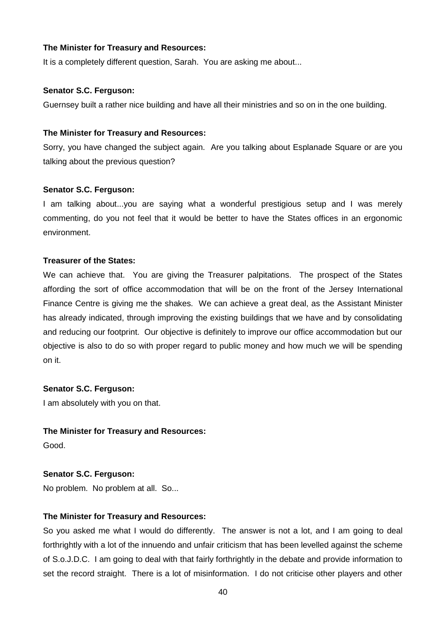It is a completely different question, Sarah. You are asking me about...

## **Senator S.C. Ferguson:**

Guernsey built a rather nice building and have all their ministries and so on in the one building.

## **The Minister for Treasury and Resources:**

Sorry, you have changed the subject again. Are you talking about Esplanade Square or are you talking about the previous question?

## **Senator S.C. Ferguson:**

I am talking about...you are saying what a wonderful prestigious setup and I was merely commenting, do you not feel that it would be better to have the States offices in an ergonomic environment.

## **Treasurer of the States:**

We can achieve that. You are giving the Treasurer palpitations. The prospect of the States affording the sort of office accommodation that will be on the front of the Jersey International Finance Centre is giving me the shakes. We can achieve a great deal, as the Assistant Minister has already indicated, through improving the existing buildings that we have and by consolidating and reducing our footprint. Our objective is definitely to improve our office accommodation but our objective is also to do so with proper regard to public money and how much we will be spending on it.

# **Senator S.C. Ferguson:**

I am absolutely with you on that.

# **The Minister for Treasury and Resources:**

Good.

# **Senator S.C. Ferguson:**

No problem. No problem at all. So...

# **The Minister for Treasury and Resources:**

So you asked me what I would do differently. The answer is not a lot, and I am going to deal forthrightly with a lot of the innuendo and unfair criticism that has been levelled against the scheme of S.o.J.D.C. I am going to deal with that fairly forthrightly in the debate and provide information to set the record straight. There is a lot of misinformation. I do not criticise other players and other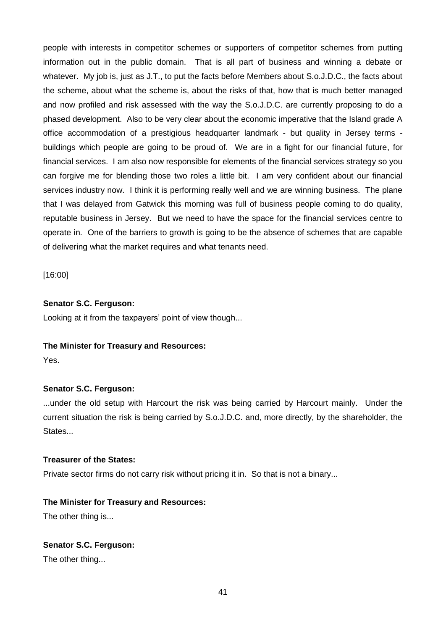people with interests in competitor schemes or supporters of competitor schemes from putting information out in the public domain. That is all part of business and winning a debate or whatever. My job is, just as J.T., to put the facts before Members about S.o.J.D.C., the facts about the scheme, about what the scheme is, about the risks of that, how that is much better managed and now profiled and risk assessed with the way the S.o.J.D.C. are currently proposing to do a phased development. Also to be very clear about the economic imperative that the Island grade A office accommodation of a prestigious headquarter landmark - but quality in Jersey terms buildings which people are going to be proud of. We are in a fight for our financial future, for financial services. I am also now responsible for elements of the financial services strategy so you can forgive me for blending those two roles a little bit. I am very confident about our financial services industry now. I think it is performing really well and we are winning business. The plane that I was delayed from Gatwick this morning was full of business people coming to do quality, reputable business in Jersey. But we need to have the space for the financial services centre to operate in. One of the barriers to growth is going to be the absence of schemes that are capable of delivering what the market requires and what tenants need.

[16:00]

# **Senator S.C. Ferguson:**

Looking at it from the taxpayers' point of view though...

# **The Minister for Treasury and Resources:**

Yes.

# **Senator S.C. Ferguson:**

...under the old setup with Harcourt the risk was being carried by Harcourt mainly. Under the current situation the risk is being carried by S.o.J.D.C. and, more directly, by the shareholder, the States...

# **Treasurer of the States:**

Private sector firms do not carry risk without pricing it in. So that is not a binary...

# **The Minister for Treasury and Resources:**

The other thing is...

# **Senator S.C. Ferguson:**

The other thing...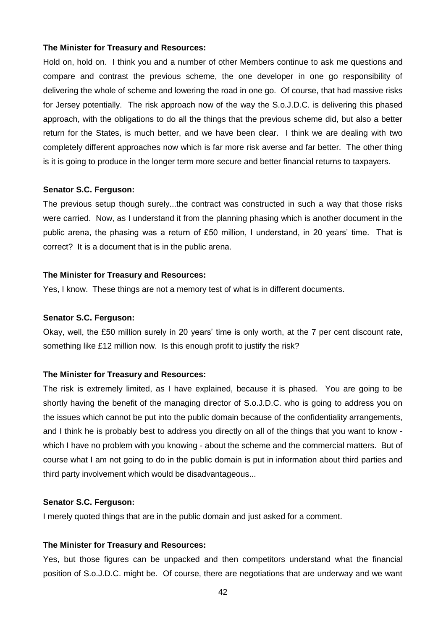Hold on, hold on. I think you and a number of other Members continue to ask me questions and compare and contrast the previous scheme, the one developer in one go responsibility of delivering the whole of scheme and lowering the road in one go. Of course, that had massive risks for Jersey potentially. The risk approach now of the way the S.o.J.D.C. is delivering this phased approach, with the obligations to do all the things that the previous scheme did, but also a better return for the States, is much better, and we have been clear. I think we are dealing with two completely different approaches now which is far more risk averse and far better. The other thing is it is going to produce in the longer term more secure and better financial returns to taxpayers.

#### **Senator S.C. Ferguson:**

The previous setup though surely...the contract was constructed in such a way that those risks were carried. Now, as I understand it from the planning phasing which is another document in the public arena, the phasing was a return of £50 million, I understand, in 20 years' time. That is correct? It is a document that is in the public arena.

#### **The Minister for Treasury and Resources:**

Yes, I know. These things are not a memory test of what is in different documents.

#### **Senator S.C. Ferguson:**

Okay, well, the £50 million surely in 20 years' time is only worth, at the 7 per cent discount rate, something like £12 million now. Is this enough profit to justify the risk?

#### **The Minister for Treasury and Resources:**

The risk is extremely limited, as I have explained, because it is phased. You are going to be shortly having the benefit of the managing director of S.o.J.D.C. who is going to address you on the issues which cannot be put into the public domain because of the confidentiality arrangements, and I think he is probably best to address you directly on all of the things that you want to know which I have no problem with you knowing - about the scheme and the commercial matters. But of course what I am not going to do in the public domain is put in information about third parties and third party involvement which would be disadvantageous...

#### **Senator S.C. Ferguson:**

I merely quoted things that are in the public domain and just asked for a comment.

#### **The Minister for Treasury and Resources:**

Yes, but those figures can be unpacked and then competitors understand what the financial position of S.o.J.D.C. might be. Of course, there are negotiations that are underway and we want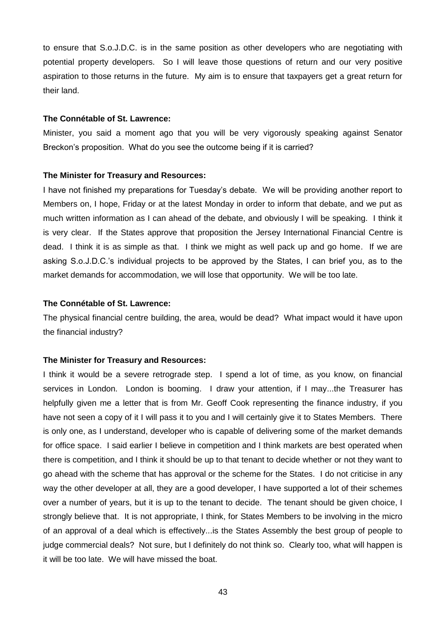to ensure that S.o.J.D.C. is in the same position as other developers who are negotiating with potential property developers. So I will leave those questions of return and our very positive aspiration to those returns in the future. My aim is to ensure that taxpayers get a great return for their land.

## **The Connétable of St. Lawrence:**

Minister, you said a moment ago that you will be very vigorously speaking against Senator Breckon's proposition. What do you see the outcome being if it is carried?

#### **The Minister for Treasury and Resources:**

I have not finished my preparations for Tuesday's debate. We will be providing another report to Members on, I hope, Friday or at the latest Monday in order to inform that debate, and we put as much written information as I can ahead of the debate, and obviously I will be speaking. I think it is very clear. If the States approve that proposition the Jersey International Financial Centre is dead. I think it is as simple as that. I think we might as well pack up and go home. If we are asking S.o.J.D.C.'s individual projects to be approved by the States, I can brief you, as to the market demands for accommodation, we will lose that opportunity. We will be too late.

#### **The Connétable of St. Lawrence:**

The physical financial centre building, the area, would be dead? What impact would it have upon the financial industry?

#### **The Minister for Treasury and Resources:**

I think it would be a severe retrograde step. I spend a lot of time, as you know, on financial services in London. London is booming. I draw your attention, if I may...the Treasurer has helpfully given me a letter that is from Mr. Geoff Cook representing the finance industry, if you have not seen a copy of it I will pass it to you and I will certainly give it to States Members. There is only one, as I understand, developer who is capable of delivering some of the market demands for office space. I said earlier I believe in competition and I think markets are best operated when there is competition, and I think it should be up to that tenant to decide whether or not they want to go ahead with the scheme that has approval or the scheme for the States. I do not criticise in any way the other developer at all, they are a good developer, I have supported a lot of their schemes over a number of years, but it is up to the tenant to decide. The tenant should be given choice, I strongly believe that. It is not appropriate, I think, for States Members to be involving in the micro of an approval of a deal which is effectively...is the States Assembly the best group of people to judge commercial deals? Not sure, but I definitely do not think so. Clearly too, what will happen is it will be too late. We will have missed the boat.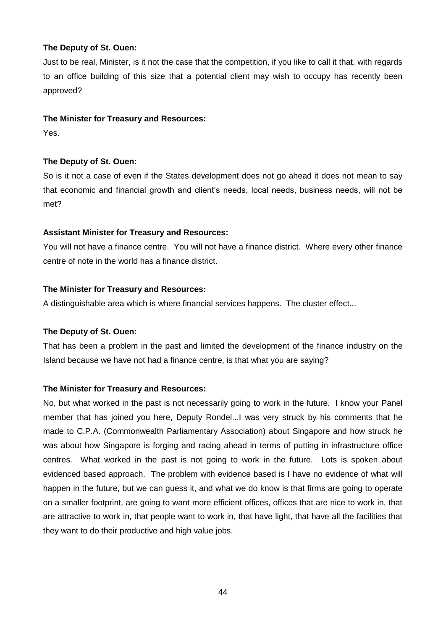Just to be real, Minister, is it not the case that the competition, if you like to call it that, with regards to an office building of this size that a potential client may wish to occupy has recently been approved?

## **The Minister for Treasury and Resources:**

Yes.

# **The Deputy of St. Ouen:**

So is it not a case of even if the States development does not go ahead it does not mean to say that economic and financial growth and client's needs, local needs, business needs, will not be met?

# **Assistant Minister for Treasury and Resources:**

You will not have a finance centre. You will not have a finance district. Where every other finance centre of note in the world has a finance district.

# **The Minister for Treasury and Resources:**

A distinguishable area which is where financial services happens. The cluster effect...

# **The Deputy of St. Ouen:**

That has been a problem in the past and limited the development of the finance industry on the Island because we have not had a finance centre, is that what you are saying?

# **The Minister for Treasury and Resources:**

No, but what worked in the past is not necessarily going to work in the future. I know your Panel member that has joined you here, Deputy Rondel...I was very struck by his comments that he made to C.P.A. (Commonwealth Parliamentary Association) about Singapore and how struck he was about how Singapore is forging and racing ahead in terms of putting in infrastructure office centres. What worked in the past is not going to work in the future. Lots is spoken about evidenced based approach. The problem with evidence based is I have no evidence of what will happen in the future, but we can guess it, and what we do know is that firms are going to operate on a smaller footprint, are going to want more efficient offices, offices that are nice to work in, that are attractive to work in, that people want to work in, that have light, that have all the facilities that they want to do their productive and high value jobs.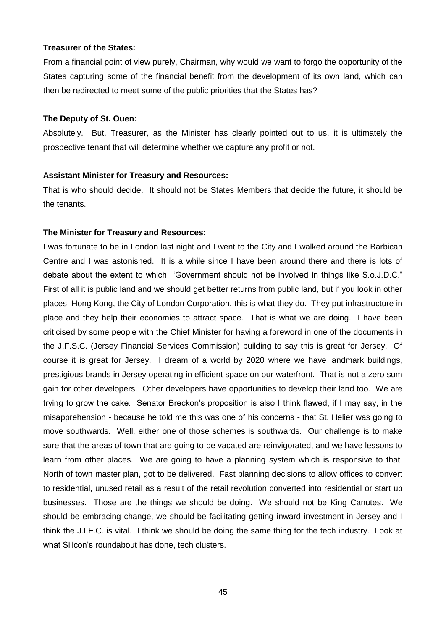#### **Treasurer of the States:**

From a financial point of view purely, Chairman, why would we want to forgo the opportunity of the States capturing some of the financial benefit from the development of its own land, which can then be redirected to meet some of the public priorities that the States has?

#### **The Deputy of St. Ouen:**

Absolutely. But, Treasurer, as the Minister has clearly pointed out to us, it is ultimately the prospective tenant that will determine whether we capture any profit or not.

#### **Assistant Minister for Treasury and Resources:**

That is who should decide. It should not be States Members that decide the future, it should be the tenants.

#### **The Minister for Treasury and Resources:**

I was fortunate to be in London last night and I went to the City and I walked around the Barbican Centre and I was astonished. It is a while since I have been around there and there is lots of debate about the extent to which: "Government should not be involved in things like S.o.J.D.C." First of all it is public land and we should get better returns from public land, but if you look in other places, Hong Kong, the City of London Corporation, this is what they do. They put infrastructure in place and they help their economies to attract space. That is what we are doing. I have been criticised by some people with the Chief Minister for having a foreword in one of the documents in the J.F.S.C. (Jersey Financial Services Commission) building to say this is great for Jersey. Of course it is great for Jersey. I dream of a world by 2020 where we have landmark buildings, prestigious brands in Jersey operating in efficient space on our waterfront. That is not a zero sum gain for other developers. Other developers have opportunities to develop their land too. We are trying to grow the cake. Senator Breckon's proposition is also I think flawed, if I may say, in the misapprehension - because he told me this was one of his concerns - that St. Helier was going to move southwards. Well, either one of those schemes is southwards. Our challenge is to make sure that the areas of town that are going to be vacated are reinvigorated, and we have lessons to learn from other places. We are going to have a planning system which is responsive to that. North of town master plan, got to be delivered. Fast planning decisions to allow offices to convert to residential, unused retail as a result of the retail revolution converted into residential or start up businesses. Those are the things we should be doing. We should not be King Canutes. We should be embracing change, we should be facilitating getting inward investment in Jersey and I think the J.I.F.C. is vital. I think we should be doing the same thing for the tech industry. Look at what Silicon's roundabout has done, tech clusters.